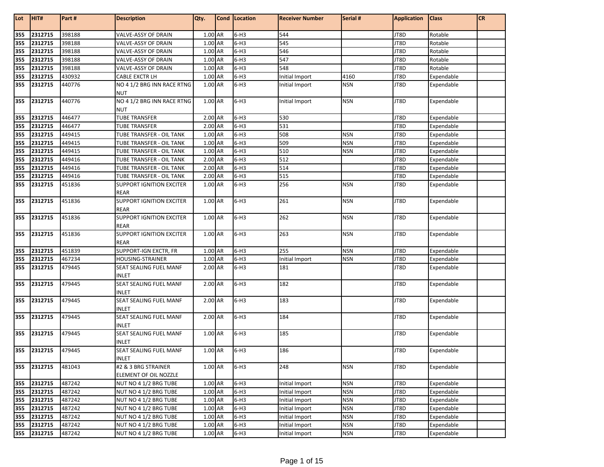| Lot        | HIT#               | Part#            | <b>Description</b>                               | Qty.               | Cond   Location  | <b>Receiver Number</b> | Serial #                 | <b>Application</b> | <b>Class</b>             | <b>CR</b> |
|------------|--------------------|------------------|--------------------------------------------------|--------------------|------------------|------------------------|--------------------------|--------------------|--------------------------|-----------|
| 355        | 2312715            | 398188           | VALVE-ASSY OF DRAIN                              | $1.00$ AR          | $6-H3$           | 544                    |                          | JT8D               | Rotable                  |           |
| 355        | 2312715            | 398188           | VALVE-ASSY OF DRAIN                              | 1.00 AR            | $6-H3$           | 545                    |                          | JT8D               | Rotable                  |           |
| 355        | 2312715            | 398188           | VALVE-ASSY OF DRAIN                              | 1.00 AR            | $6-H3$           | 546                    |                          | JT8D               | Rotable                  |           |
| 355        | 2312715            | 398188           | VALVE-ASSY OF DRAIN                              | 1.00 AR            | $6-H3$           | 547                    |                          | JT8D               | Rotable                  |           |
| 355        | 2312715            | 398188           | VALVE-ASSY OF DRAIN                              | 1.00 AR            | $6-H3$           | 548                    |                          | JT8D               | Rotable                  |           |
| 355        | 2312715            | 430932           | CABLE EXCTR LH                                   | 1.00 AR            | $6-H3$           | Initial Import         | 4160                     | JT8D               | Expendable               |           |
| 355        | 2312715            | 440776           | NO 4 1/2 BRG INN RACE RTNG                       | 1.00 AR            | $6-H3$           | Initial Import         | <b>NSN</b>               | JT8D               | Expendable               |           |
|            |                    |                  | <b>NUT</b>                                       |                    |                  |                        |                          |                    |                          |           |
| 355        | 2312715            | 440776           | NO 4 1/2 BRG INN RACE RTNG                       | 1.00 AR            | $6-H3$           | Initial Import         | <b>NSN</b>               | JT8D               | Expendable               |           |
|            |                    |                  | <b>NUT</b>                                       |                    |                  |                        |                          |                    |                          |           |
| 355        | 2312715            | 446477           | <b>TUBE TRANSFER</b>                             | 2.00 AR            | $6-H3$           | 530                    |                          | JT8D               | Expendable               |           |
| 355        | 2312715            | 446477           | <b>TUBE TRANSFER</b>                             | 2.00 AR            | $6-H3$           | 531                    |                          | JT8D               | Expendable               |           |
| 355        | 2312715            | 449415           | TUBE TRANSFER - OIL TANK                         | 1.00 AR            | $6-H3$           | 508                    | <b>NSN</b>               | JT8D               | Expendable               |           |
| 355        | 2312715            | 449415           | TUBE TRANSFER - OIL TANK                         | 1.00 AR            | $6-H3$           | 509                    | <b>NSN</b>               | JT8D               | Expendable               |           |
| 355        | 2312715            | 449415           | TUBE TRANSFER - OIL TANK                         | 1.00 AR            | $6-H3$           | 510                    | <b>NSN</b>               | JT8D               | Expendable               |           |
| 355        | 2312715            | 449416           | TUBE TRANSFER - OIL TANK                         | 2.00 AR            | $6-H3$           | 512                    |                          | JT8D               | Expendable               |           |
| 355        | 2312715            | 449416           | TUBE TRANSFER - OIL TANK                         | 2.00 AR            | $6-H3$           | 514                    |                          | JT8D               | Expendable               |           |
| 355        | 2312715            | 449416           | TUBE TRANSFER - OIL TANK                         | 2.00 AR            | $6-H3$           | 515                    |                          | JT8D               | Expendable               |           |
| 355        | 2312715            | 451836           | <b>SUPPORT IGNITION EXCITER</b><br><b>REAR</b>   | 1.00 AR            | $6-H3$           | 256                    | <b>NSN</b>               | JT8D               | Expendable               |           |
| 355        | 2312715            | 451836           | <b>SUPPORT IGNITION EXCITER</b><br><b>REAR</b>   | 1.00 AR            | $6-H3$           | 261                    | <b>NSN</b>               | JT8D               | Expendable               |           |
| 355        | 2312715            | 451836           | <b>SUPPORT IGNITION EXCITER</b><br><b>REAR</b>   | 1.00 AR            | $6-H3$           | 262                    | <b>NSN</b>               | JT8D               | Expendable               |           |
| 355        | 2312715            | 451836           | <b>SUPPORT IGNITION EXCITER</b>                  | 1.00 AR            | $6-H3$           | 263                    | <b>NSN</b>               | JT8D               | Expendable               |           |
|            |                    |                  | <b>REAR</b>                                      |                    |                  |                        |                          |                    |                          |           |
| 355<br>355 | 2312715<br>2312715 | 451839<br>467234 | SUPPORT-IGN EXCTR, FR<br><b>HOUSING-STRAINER</b> | 1.00 AR<br>1.00 AR | $6-H3$<br>$6-H3$ | 255                    | <b>NSN</b><br><b>NSN</b> | JT8D<br>JT8D       | Expendable               |           |
| 355        | 2312715            |                  | SEAT SEALING FUEL MANF                           | 2.00 AR            | $6-H3$           | Initial Import<br>181  |                          | JT8D               | Expendable<br>Expendable |           |
|            |                    | 479445           | <b>INLET</b>                                     |                    |                  |                        |                          |                    |                          |           |
| 355        | 2312715            | 479445           | SEAT SEALING FUEL MANF<br><b>INLET</b>           | 2.00 AR            | $6-H3$           | 182                    |                          | JT8D               | Expendable               |           |
| 355        | 2312715            | 479445           | SEAT SEALING FUEL MANF<br><b>INLET</b>           | 2.00 AR            | $6-H3$           | 183                    |                          | JT8D               | Expendable               |           |
| 355        | 2312715            | 479445           | SEAT SEALING FUEL MANF<br><b>INLET</b>           | 2.00 AR            | $6-H3$           | 184                    |                          | JT8D               | Expendable               |           |
| 355        | 2312715            | 479445           | SEAT SEALING FUEL MANF                           | 1.00 AR            | $6-H3$           | 185                    |                          | JT8D               | Expendable               |           |
| 355        | 2312715            | 479445           | INLET<br>SEAT SEALING FUEL MANF                  | 1.00 AR            | $6-H3$           | 186                    |                          | JT8D               | Expendable               |           |
|            |                    |                  | <b>INLET</b>                                     |                    |                  |                        |                          |                    |                          |           |
| 355        | 2312715            | 481043           | #2 & 3 BRG STRAINER                              | 1.00 AR            | $6-H3$           | 248                    | <b>NSN</b>               | JT8D               | Expendable               |           |
|            |                    |                  | ELEMENT OF OIL NOZZLE                            |                    |                  |                        |                          |                    |                          |           |
| 355        | 2312715            | 487242           | NUT NO 4 1/2 BRG TUBE                            | 1.00 AR            | $6-H3$           | Initial Import         | <b>NSN</b>               | JT8D               | Expendable               |           |
| 355        | 2312715            | 487242           | NUT NO 4 1/2 BRG TUBE                            | 1.00 AR            | $6-H3$           | Initial Import         | <b>NSN</b>               | JT8D               | Expendable               |           |
| 355        | 2312715            | 487242           | NUT NO 4 1/2 BRG TUBE                            | 1.00 AR            | $6-H3$           | Initial Import         | <b>NSN</b>               | JT8D               | Expendable               |           |
| 355        | 2312715            | 487242           | NUT NO 4 1/2 BRG TUBE                            | 1.00 AR            | $6-H3$           | Initial Import         | <b>NSN</b>               | JT8D               | Expendable               |           |
| 355<br>355 | 2312715<br>2312715 | 487242<br>487242 | NUT NO 4 1/2 BRG TUBE                            | 1.00 AR            | $6-H3$<br>$6-H3$ | Initial Import         | <b>NSN</b><br><b>NSN</b> | JT8D<br>JT8D       | Expendable               |           |
|            |                    |                  | NUT NO 4 1/2 BRG TUBE<br>NUT NO 4 1/2 BRG TUBE   | 1.00 AR            |                  | Initial Import         |                          |                    | Expendable               |           |
|            | 355 2312715        | 487242           |                                                  | 1.00 AR            | $6-H3$           | Initial Import         | <b>NSN</b>               | JT8D               | Expendable               |           |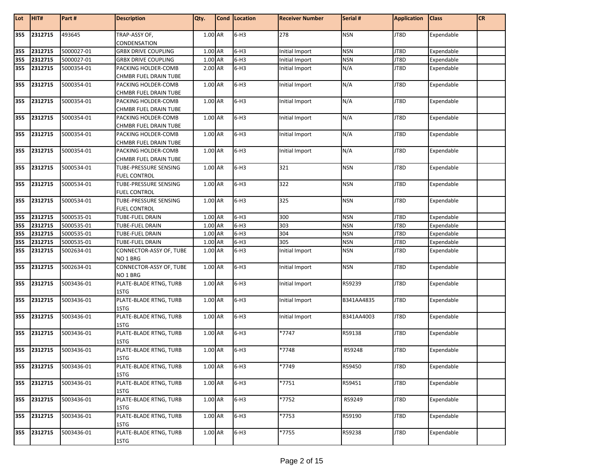| Lot        | HIT#               | Part#      | <b>Description</b>                                | Qty.               | Cond Location | <b>Receiver Number</b>           | Serial #                 | <b>Application</b> | <b>Class</b>             | <b>CR</b> |
|------------|--------------------|------------|---------------------------------------------------|--------------------|---------------|----------------------------------|--------------------------|--------------------|--------------------------|-----------|
| 355        | 2312715            | 493645     | TRAP-ASSY OF,                                     | $1.00$ AR          | $6-H3$        | 278                              | <b>NSN</b>               | JT8D               | Expendable               |           |
|            |                    | 5000027-01 | CONDENSATION                                      |                    | $6-H3$        |                                  |                          |                    | Expendable               |           |
| 355        | 2312715<br>2312715 | 5000027-01 | <b>GRBX DRIVE COUPLING</b>                        | 1.00 AR<br>1.00 AR | $6-H3$        | Initial Import                   | <b>NSN</b><br><b>NSN</b> | JT8D<br>JT8D       |                          |           |
| 355<br>355 | 2312715            | 5000354-01 | <b>GRBX DRIVE COUPLING</b><br>PACKING HOLDER-COMB | 2.00 AR            | $6-H3$        | Initial Import<br>Initial Import | N/A                      | JT8D               | Expendable<br>Expendable |           |
|            |                    |            | CHMBR FUEL DRAIN TUBE                             |                    |               |                                  |                          |                    |                          |           |
| 355        | 2312715            | 5000354-01 | PACKING HOLDER-COMB                               | 1.00 AR            | $6-H3$        | Initial Import                   | N/A                      | JT8D               | Expendable               |           |
|            |                    |            | CHMBR FUEL DRAIN TUBE                             |                    |               |                                  |                          |                    |                          |           |
| 355        | 2312715            | 5000354-01 | PACKING HOLDER-COMB                               | 1.00 AR            | $6-H3$        | Initial Import                   | N/A                      | JT8D               | Expendable               |           |
|            |                    |            | CHMBR FUEL DRAIN TUBE                             |                    |               |                                  |                          |                    |                          |           |
| 355        | 2312715            | 5000354-01 | PACKING HOLDER-COMB                               | 1.00 AR            | $6-H3$        | Initial Import                   | N/A                      | JT8D               | Expendable               |           |
|            |                    |            | CHMBR FUEL DRAIN TUBE                             |                    |               |                                  |                          |                    |                          |           |
| 355        | 2312715            | 5000354-01 | PACKING HOLDER-COMB                               | 1.00 AR            | $6-H3$        | Initial Import                   | N/A                      | JT8D               | Expendable               |           |
|            |                    |            | CHMBR FUEL DRAIN TUBE                             |                    |               |                                  |                          |                    |                          |           |
| 355        | 2312715            | 5000354-01 | PACKING HOLDER-COMB                               | 1.00 AR            | $6-H3$        | Initial Import                   | N/A                      | JT8D               | Expendable               |           |
|            |                    |            | CHMBR FUEL DRAIN TUBE                             |                    |               |                                  |                          |                    |                          |           |
| 355        | 2312715            | 5000534-01 | TUBE-PRESSURE SENSING                             | $1.00$ AR          | $6-H3$        | 321                              | <b>NSN</b>               | JT8D               | Expendable               |           |
|            |                    |            | <b>FUEL CONTROL</b>                               |                    |               |                                  |                          |                    |                          |           |
| 355        | 2312715            | 5000534-01 | TUBE-PRESSURE SENSING                             | 1.00 AR            | $6-H3$        | 322                              | <b>NSN</b>               | JT8D               | Expendable               |           |
|            |                    |            | <b>FUEL CONTROL</b>                               |                    |               |                                  |                          |                    |                          |           |
| 355        | 2312715            | 5000534-01 | <b>TUBE-PRESSURE SENSING</b>                      | 1.00 AR            | $6-H3$        | 325                              | <b>NSN</b>               | JT8D               | Expendable               |           |
|            |                    |            | <b>FUEL CONTROL</b>                               |                    |               |                                  |                          |                    |                          |           |
| 355        | 2312715            | 5000535-01 | TUBE-FUEL DRAIN                                   | 1.00 AR            | $6-H3$        | 300                              | <b>NSN</b>               | JT8D               | Expendable               |           |
| 355        | 2312715            | 5000535-01 | <b>TUBE-FUEL DRAIN</b>                            | 1.00 AR            | $6-H3$        | 303                              | <b>NSN</b>               | JT8D               | Expendable               |           |
| 355        | 2312715            | 5000535-01 | TUBE-FUEL DRAIN                                   | 1.00 AR            | $6-H3$        | 304                              | <b>NSN</b>               | JT8D               | Expendable               |           |
| 355        | 2312715            | 5000535-01 | <b>TUBE-FUEL DRAIN</b>                            | 1.00 AR            | $6-H3$        | 305                              | <b>NSN</b>               | JT8D               | Expendable               |           |
| 355        | 2312715            | 5002634-01 | CONNECTOR-ASSY OF, TUBE                           | 1.00 AR            | $6-H3$        | Initial Import                   | <b>NSN</b>               | JT8D               | Expendable               |           |
|            |                    |            | NO <sub>1</sub> BRG                               |                    |               |                                  |                          |                    |                          |           |
| 355        | 2312715            | 5002634-01 | CONNECTOR-ASSY OF, TUBE                           | 1.00 AR            | $6-H3$        | Initial Import                   | <b>NSN</b>               | JT8D               | Expendable               |           |
|            |                    |            | NO 1 BRG                                          |                    |               |                                  |                          |                    |                          |           |
| 355        | 2312715            | 5003436-01 | PLATE-BLADE RTNG, TURB                            | 1.00 AR            | $6-H3$        | Initial Import                   | R59239                   | JT8D               | Expendable               |           |
|            |                    |            | 1STG                                              |                    |               |                                  |                          |                    |                          |           |
| 355        | 2312715            | 5003436-01 | PLATE-BLADE RTNG, TURB                            | 1.00 AR            | $6-H3$        | Initial Import                   | B341AA4835               | JT8D               | Expendable               |           |
|            |                    |            | 1STG                                              |                    |               |                                  |                          |                    |                          |           |
| 355        | 2312715            | 5003436-01 | PLATE-BLADE RTNG, TURB                            | 1.00 AR            | $6-H3$        | Initial Import                   | B341AA4003               | JT8D               | Expendable               |           |
|            |                    |            | 1STG                                              |                    |               |                                  |                          |                    |                          |           |
| 355        | 2312715            | 5003436-01 | PLATE-BLADE RTNG, TURB                            | 1.00 AR            | $6-H3$        | *7747                            | R59138                   | JT8D               | Expendable               |           |
|            |                    |            | 1STG                                              |                    |               |                                  |                          |                    |                          |           |
| 355        | 2312715            | 5003436-01 | PLATE-BLADE RTNG, TURB                            | 1.00 AR            | $6-H3$        | *7748                            | R59248                   | JT8D               | Expendable               |           |
|            |                    |            | 1STG                                              |                    |               |                                  |                          |                    |                          |           |
| 355        | 2312715            | 5003436-01 | PLATE-BLADE RTNG, TURB                            | 1.00 AR            | $6-H3$        | *7749                            | R59450                   | JT8D               | Expendable               |           |
|            |                    |            | 1STG                                              |                    |               |                                  |                          |                    |                          |           |
| 355        | 2312715            | 5003436-01 | PLATE-BLADE RTNG, TURB<br>1STG                    | 1.00 AR            | $6-H3$        | *7751                            | R59451                   | JT8D               | Expendable               |           |
| 355        |                    |            | PLATE-BLADE RTNG, TURB                            |                    |               |                                  |                          |                    |                          |           |
|            | 2312715            | 5003436-01 | 1STG                                              | 1.00 AR            | $6-H3$        | *7752                            | R59249                   | JT8D               | Expendable               |           |
| 355        | 2312715            | 5003436-01 | PLATE-BLADE RTNG, TURB                            | 1.00 AR            | $6-H3$        | *7753                            | R59190                   | JT8D               | Expendable               |           |
|            |                    |            | 1STG                                              |                    |               |                                  |                          |                    |                          |           |
| 355        | 2312715            | 5003436-01 | PLATE-BLADE RTNG, TURB                            | 1.00 AR            | $6-H3$        | *7755                            | R59238                   | JT8D               | Expendable               |           |
|            |                    |            | 1STG                                              |                    |               |                                  |                          |                    |                          |           |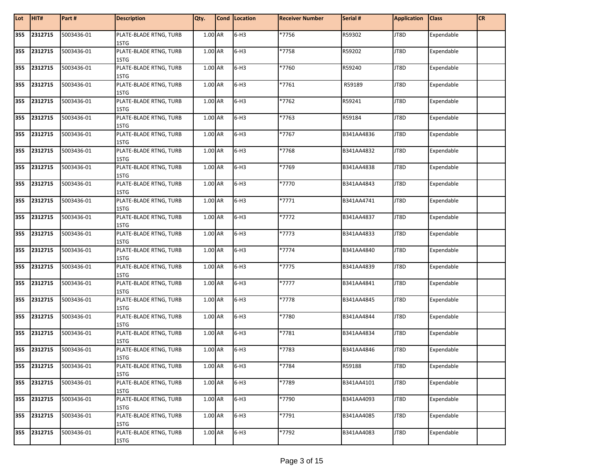| Lot | HIT#    | Part#      | <b>Description</b>             | Qty.    | Cond Location | <b>Receiver Number</b> | Serial #   | <b>Application</b> | <b>Class</b> | <b>CR</b> |
|-----|---------|------------|--------------------------------|---------|---------------|------------------------|------------|--------------------|--------------|-----------|
| 355 | 2312715 | 5003436-01 | PLATE-BLADE RTNG, TURB<br>1STG | 1.00 AR | $6-H3$        | *7756                  | R59302     | JT8D               | Expendable   |           |
| 355 | 2312715 | 5003436-01 | PLATE-BLADE RTNG, TURB<br>1STG | 1.00 AR | $6-H3$        | *7758                  | R59202     | JT8D               | Expendable   |           |
| 355 | 2312715 | 5003436-01 | PLATE-BLADE RTNG, TURB<br>1STG | 1.00 AR | $6-H3$        | *7760                  | R59240     | JT8D               | Expendable   |           |
| 355 | 2312715 | 5003436-01 | PLATE-BLADE RTNG, TURB<br>1STG | 1.00 AR | $6-H3$        | *7761                  | R59189     | JT8D               | Expendable   |           |
| 355 | 2312715 | 5003436-01 | PLATE-BLADE RTNG, TURB<br>1STG | 1.00 AR | $6-H3$        | *7762                  | R59241     | JT8D               | Expendable   |           |
| 355 | 2312715 | 5003436-01 | PLATE-BLADE RTNG, TURB<br>1STG | 1.00 AR | $6-H3$        | *7763                  | R59184     | JT8D               | Expendable   |           |
| 355 | 2312715 | 5003436-01 | PLATE-BLADE RTNG, TURB<br>1STG | 1.00 AR | $6-H3$        | *7767                  | B341AA4836 | JT8D               | Expendable   |           |
| 355 | 2312715 | 5003436-01 | PLATE-BLADE RTNG, TURB<br>1STG | 1.00 AR | $6-H3$        | *7768                  | B341AA4832 | JT8D               | Expendable   |           |
| 355 | 2312715 | 5003436-01 | PLATE-BLADE RTNG, TURB<br>1STG | 1.00 AR | $6-H3$        | *7769                  | B341AA4838 | JT8D               | Expendable   |           |
| 355 | 2312715 | 5003436-01 | PLATE-BLADE RTNG, TURB<br>1STG | 1.00 AR | $6-H3$        | *7770                  | B341AA4843 | JT8D               | Expendable   |           |
| 355 | 2312715 | 5003436-01 | PLATE-BLADE RTNG, TURB<br>1STG | 1.00 AR | $6-H3$        | *7771                  | B341AA4741 | JT8D               | Expendable   |           |
| 355 | 2312715 | 5003436-01 | PLATE-BLADE RTNG, TURB<br>1STG | 1.00 AR | $6-H3$        | *7772                  | B341AA4837 | JT8D               | Expendable   |           |
| 355 | 2312715 | 5003436-01 | PLATE-BLADE RTNG, TURB<br>1STG | 1.00 AR | $6-H3$        | *7773                  | B341AA4833 | JT8D               | Expendable   |           |
| 355 | 2312715 | 5003436-01 | PLATE-BLADE RTNG, TURB<br>1STG | 1.00 AR | $6-H3$        | *7774                  | B341AA4840 | JT8D               | Expendable   |           |
| 355 | 2312715 | 5003436-01 | PLATE-BLADE RTNG, TURB<br>1STG | 1.00 AR | $6-H3$        | *7775                  | B341AA4839 | JT8D               | Expendable   |           |
| 355 | 2312715 | 5003436-01 | PLATE-BLADE RTNG, TURB<br>1STG | 1.00 AR | $6-H3$        | *7777                  | B341AA4841 | JT8D               | Expendable   |           |
| 355 | 2312715 | 5003436-01 | PLATE-BLADE RTNG, TURB<br>1STG | 1.00 AR | $6-H3$        | *7778                  | B341AA4845 | JT8D               | Expendable   |           |
| 355 | 2312715 | 5003436-01 | PLATE-BLADE RTNG, TURB<br>1STG | 1.00 AR | $6-H3$        | *7780                  | B341AA4844 | JT8D               | Expendable   |           |
| 355 | 2312715 | 5003436-01 | PLATE-BLADE RTNG, TURB<br>1STG | 1.00 AR | $6-H3$        | *7781                  | B341AA4834 | JT8D               | Expendable   |           |
| 355 | 2312715 | 5003436-01 | PLATE-BLADE RTNG, TURB<br>1STG | 1.00 AR | $6-H3$        | *7783                  | B341AA4846 | JT8D               | Expendable   |           |
| 355 | 2312715 | 5003436-01 | PLATE-BLADE RTNG, TURB<br>1STG | 1.00 AR | $6-H3$        | *7784                  | R59188     | JT8D               | Expendable   |           |
| 355 | 2312715 | 5003436-01 | PLATE-BLADE RTNG, TURB<br>1STG | 1.00 AR | $6-H3$        | *7789                  | B341AA4101 | JT8D               | Expendable   |           |
| 355 | 2312715 | 5003436-01 | PLATE-BLADE RTNG, TURB<br>1STG | 1.00 AR | $6-H3$        | *7790                  | B341AA4093 | JT8D               | Expendable   |           |
| 355 | 2312715 | 5003436-01 | PLATE-BLADE RTNG, TURB<br>1STG | 1.00 AR | $6-H3$        | *7791                  | B341AA4085 | JT8D               | Expendable   |           |
| 355 | 2312715 | 5003436-01 | PLATE-BLADE RTNG, TURB<br>1STG | 1.00 AR | $6-H3$        | *7792                  | B341AA4083 | JT8D               | Expendable   |           |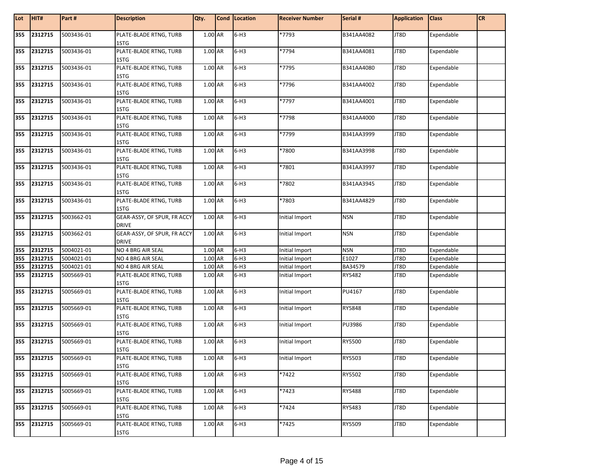| Lot | HIT#        | Part#      | <b>Description</b>                          | Qty.    | Cond   Location | <b>Receiver Number</b> | Serial #   | <b>Application</b> | <b>Class</b>      | <b>CR</b> |
|-----|-------------|------------|---------------------------------------------|---------|-----------------|------------------------|------------|--------------------|-------------------|-----------|
| 355 | 2312715     | 5003436-01 | PLATE-BLADE RTNG, TURB<br>1STG              | 1.00 AR | $6-H3$          | *7793                  | B341AA4082 | JT8D               | Expendable        |           |
| 355 | 2312715     | 5003436-01 | PLATE-BLADE RTNG, TURB<br>1STG              | 1.00 AR | $6-H3$          | *7794                  | B341AA4081 | JT8D               | Expendable        |           |
| 355 | 2312715     | 5003436-01 | PLATE-BLADE RTNG, TURB<br>1STG              | 1.00 AR | $6-H3$          | *7795                  | B341AA4080 | JT8D               | Expendable        |           |
| 355 | 2312715     | 5003436-01 | PLATE-BLADE RTNG, TURB<br>1STG              | 1.00 AR | $6-H3$          | *7796                  | B341AA4002 | JT8D               | Expendable        |           |
| 355 | 2312715     | 5003436-01 | PLATE-BLADE RTNG, TURB<br>1STG              | 1.00 AR | $6-H3$          | *7797                  | B341AA4001 | JT8D               | Expendable        |           |
| 355 | 2312715     | 5003436-01 | PLATE-BLADE RTNG, TURB<br>1STG              | 1.00 AR | $6-H3$          | *7798                  | B341AA4000 | JT8D               | Expendable        |           |
| 355 | 2312715     | 5003436-01 | PLATE-BLADE RTNG, TURB<br>1STG              | 1.00 AR | $6-H3$          | *7799                  | B341AA3999 | JT8D               | Expendable        |           |
| 355 | 2312715     | 5003436-01 | PLATE-BLADE RTNG, TURB<br>1STG              | 1.00 AR | $6-H3$          | *7800                  | B341AA3998 | JT8D               | Expendable        |           |
| 355 | 2312715     | 5003436-01 | PLATE-BLADE RTNG, TURB<br>1STG              | 1.00 AR | $6-H3$          | *7801                  | B341AA3997 | JT8D               | Expendable        |           |
| 355 | 2312715     | 5003436-01 | PLATE-BLADE RTNG, TURB<br>1STG              | 1.00 AR | $6-H3$          | *7802                  | B341AA3945 | JT8D               | Expendable        |           |
| 355 | 2312715     | 5003436-01 | PLATE-BLADE RTNG, TURB<br>1STG              | 1.00 AR | $6-H3$          | *7803                  | B341AA4829 | JT8D               | Expendable        |           |
| 355 | 2312715     | 5003662-01 | GEAR-ASSY, OF SPUR, FR ACCY<br><b>DRIVE</b> | 1.00 AR | $6-H3$          | Initial Import         | <b>NSN</b> | JT8D               | Expendable        |           |
| 355 | 2312715     | 5003662-01 | GEAR-ASSY, OF SPUR, FR ACCY<br><b>DRIVE</b> | 1.00 AR | $6-H3$          | Initial Import         | <b>NSN</b> | JT8D               | Expendable        |           |
| 355 | 2312715     | 5004021-01 | NO 4 BRG AIR SEAL                           | 1.00 AR | $6-H3$          | <b>Initial Import</b>  | <b>NSN</b> | JT8D               | Expendable        |           |
| 355 | 2312715     | 5004021-01 | NO 4 BRG AIR SEAL                           | 1.00 AR | $6-H3$          | <b>Initial Import</b>  | E1027      | JT8D               | Expendable        |           |
| 355 | 2312715     | 5004021-01 | NO 4 BRG AIR SEAL                           | 1.00 AR | $6-H3$          | Initial Import         | BA34579    | JT8D               | Expendable        |           |
| 355 | 2312715     | 5005669-01 | PLATE-BLADE RTNG, TURB<br>1STG              | 1.00 AR | $6-H3$          | Initial Import         | RY5482     | JT8D               | Expendable        |           |
| 355 | 2312715     | 5005669-01 | PLATE-BLADE RTNG, TURB<br>1STG              | 1.00 AR | $6-H3$          | Initial Import         | PU4167     | JT8D               | Expendable        |           |
| 355 | 2312715     | 5005669-01 | PLATE-BLADE RTNG, TURB<br>1STG              | 1.00 AR | $6-H3$          | Initial Import         | RY5848     | JT8D               | Expendable        |           |
| 355 | 2312715     | 5005669-01 | PLATE-BLADE RTNG, TURB<br>1STG              | 1.00 AR | $6-H3$          | Initial Import         | PU3986     | JT8D               | Expendable        |           |
| 355 | 2312715     | 5005669-01 | PLATE-BLADE RTNG, TURB<br>1STG              | 1.00 AR | $6-H3$          | Initial Import         | RY5500     | JT8D               | Expendable        |           |
|     | 355 2312715 | 5005669-01 | PLATE-BLADE RTNG, TURB<br>1STG              | 1.00 AR | $6-H3$          | Initial Import         | RY5503     | JJT8D              | <b>Expendable</b> |           |
|     | 355 2312715 | 5005669-01 | PLATE-BLADE RTNG, TURB<br>1STG              | 1.00 AR | $6-H3$          | *7422                  | RY5502     | JT8D               | Expendable        |           |
| 355 | 2312715     | 5005669-01 | PLATE-BLADE RTNG, TURB<br>1STG              | 1.00 AR | $6-H3$          | *7423                  | RY5488     | JT8D               | Expendable        |           |
| 355 | 2312715     | 5005669-01 | PLATE-BLADE RTNG, TURB<br>1STG              | 1.00 AR | $6-H3$          | $*7424$                | RY5483     | JT8D               | Expendable        |           |
| 355 | 2312715     | 5005669-01 | PLATE-BLADE RTNG, TURB<br>1STG              | 1.00 AR | $6-H3$          | *7425                  | RY5509     | JT8D               | Expendable        |           |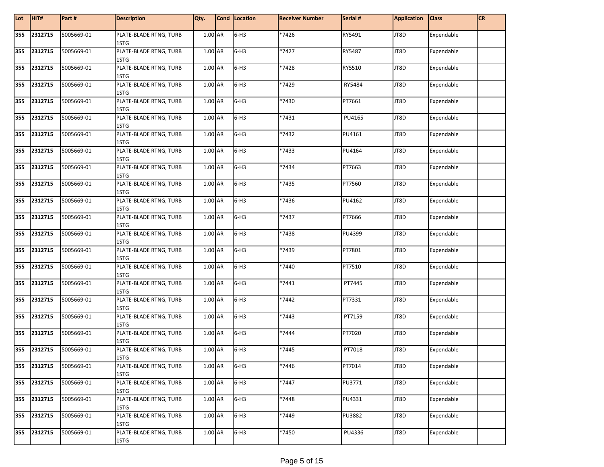| Lot | HIT#    | Part#      | <b>Description</b>             | Qty.    | Cond Location | <b>Receiver Number</b> | Serial # | <b>Application</b> | <b>Class</b> | <b>CR</b> |
|-----|---------|------------|--------------------------------|---------|---------------|------------------------|----------|--------------------|--------------|-----------|
| 355 | 2312715 | 5005669-01 | PLATE-BLADE RTNG, TURB<br>1STG | 1.00 AR | $6-H3$        | *7426                  | RY5491   | JT8D               | Expendable   |           |
| 355 | 2312715 | 5005669-01 | PLATE-BLADE RTNG, TURB<br>1STG | 1.00 AR | $6-H3$        | *7427                  | RY5487   | JT8D               | Expendable   |           |
| 355 | 2312715 | 5005669-01 | PLATE-BLADE RTNG, TURB<br>1STG | 1.00 AR | $6-H3$        | *7428                  | RY5510   | JT8D               | Expendable   |           |
| 355 | 2312715 | 5005669-01 | PLATE-BLADE RTNG, TURB<br>1STG | 1.00 AR | $6-H3$        | *7429                  | RY5484   | JT8D               | Expendable   |           |
| 355 | 2312715 | 5005669-01 | PLATE-BLADE RTNG, TURB<br>1STG | 1.00 AR | $6-H3$        | *7430                  | PT7661   | JT8D               | Expendable   |           |
| 355 | 2312715 | 5005669-01 | PLATE-BLADE RTNG, TURB<br>1STG | 1.00 AR | $6-H3$        | *7431                  | PU4165   | JT8D               | Expendable   |           |
| 355 | 2312715 | 5005669-01 | PLATE-BLADE RTNG, TURB<br>1STG | 1.00 AR | $6-H3$        | *7432                  | PU4161   | JT8D               | Expendable   |           |
| 355 | 2312715 | 5005669-01 | PLATE-BLADE RTNG, TURB<br>1STG | 1.00 AR | $6-H3$        | *7433                  | PU4164   | JT8D               | Expendable   |           |
| 355 | 2312715 | 5005669-01 | PLATE-BLADE RTNG, TURB<br>1STG | 1.00 AR | $6-H3$        | *7434                  | PT7663   | JT8D               | Expendable   |           |
| 355 | 2312715 | 5005669-01 | PLATE-BLADE RTNG, TURB<br>1STG | 1.00 AR | $6-H3$        | *7435                  | PT7560   | JT8D               | Expendable   |           |
| 355 | 2312715 | 5005669-01 | PLATE-BLADE RTNG, TURB<br>1STG | 1.00 AR | $6-H3$        | *7436                  | PU4162   | JT8D               | Expendable   |           |
| 355 | 2312715 | 5005669-01 | PLATE-BLADE RTNG, TURB<br>1STG | 1.00 AR | $6-H3$        | *7437                  | PT7666   | JT8D               | Expendable   |           |
| 355 | 2312715 | 5005669-01 | PLATE-BLADE RTNG, TURB<br>1STG | 1.00 AR | $6-H3$        | *7438                  | PU4399   | JT8D               | Expendable   |           |
| 355 | 2312715 | 5005669-01 | PLATE-BLADE RTNG, TURB<br>1STG | 1.00 AR | $6-H3$        | *7439                  | PT7801   | JT8D               | Expendable   |           |
| 355 | 2312715 | 5005669-01 | PLATE-BLADE RTNG, TURB<br>1STG | 1.00 AR | $6-H3$        | *7440                  | PT7510   | JT8D               | Expendable   |           |
| 355 | 2312715 | 5005669-01 | PLATE-BLADE RTNG, TURB<br>1STG | 1.00 AR | $6-H3$        | *7441                  | PT7445   | JT8D               | Expendable   |           |
| 355 | 2312715 | 5005669-01 | PLATE-BLADE RTNG, TURB<br>1STG | 1.00 AR | $6-H3$        | *7442                  | PT7331   | JT8D               | Expendable   |           |
| 355 | 2312715 | 5005669-01 | PLATE-BLADE RTNG, TURB<br>1STG | 1.00 AR | $6-H3$        | $*_{7443}$             | PT7159   | JT8D               | Expendable   |           |
| 355 | 2312715 | 5005669-01 | PLATE-BLADE RTNG, TURB<br>1STG | 1.00 AR | $6-H3$        | *7444                  | PT7020   | JT8D               | Expendable   |           |
| 355 | 2312715 | 5005669-01 | PLATE-BLADE RTNG, TURB<br>1STG | 1.00 AR | $6-H3$        | *7445                  | PT7018   | JT8D               | Expendable   |           |
| 355 | 2312715 | 5005669-01 | PLATE-BLADE RTNG, TURB<br>1STG | 1.00 AR | $6-H3$        | *7446                  | PT7014   | JT8D               | Expendable   |           |
| 355 | 2312715 | 5005669-01 | PLATE-BLADE RTNG, TURB<br>1STG | 1.00 AR | $6-H3$        | *7447                  | PU3771   | JT8D               | Expendable   |           |
| 355 | 2312715 | 5005669-01 | PLATE-BLADE RTNG, TURB<br>1STG | 1.00 AR | $6-H3$        | *7448                  | PU4331   | JT8D               | Expendable   |           |
| 355 | 2312715 | 5005669-01 | PLATE-BLADE RTNG, TURB<br>1STG | 1.00 AR | $6-H3$        | *7449                  | PU3882   | JT8D               | Expendable   |           |
| 355 | 2312715 | 5005669-01 | PLATE-BLADE RTNG, TURB<br>1STG | 1.00 AR | $6-H3$        | *7450                  | PU4336   | JT8D               | Expendable   |           |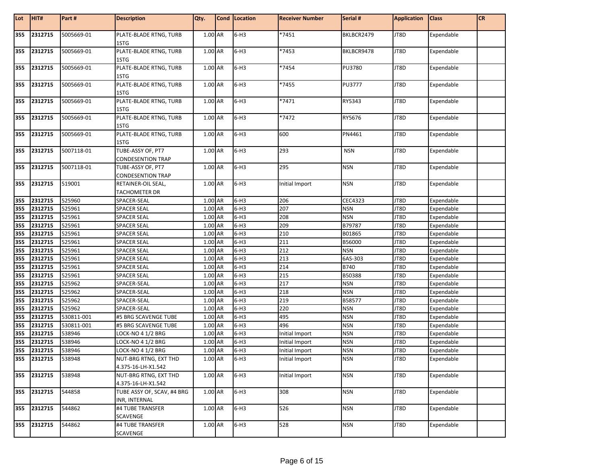| Lot | HIT#        | Part#      | <b>Description</b>                            | Qty.    | Cond   Location | <b>Receiver Number</b> | Serial #      | <b>Application</b> | <b>Class</b> | <b>CR</b> |
|-----|-------------|------------|-----------------------------------------------|---------|-----------------|------------------------|---------------|--------------------|--------------|-----------|
| 355 | 2312715     | 5005669-01 | PLATE-BLADE RTNG, TURB<br>1STG                | 1.00 AR | $6-H3$          | *7451                  | BKLBCR2479    | JT8D               | Expendable   |           |
| 355 | 2312715     | 5005669-01 | PLATE-BLADE RTNG, TURB<br>1STG                | 1.00 AR | $6-H3$          | *7453                  | BKLBCR9478    | JT8D               | Expendable   |           |
| 355 | 2312715     | 5005669-01 | PLATE-BLADE RTNG, TURB<br>1STG                | 1.00 AR | $6-H3$          | *7454                  | PU3780        | JT8D               | Expendable   |           |
| 355 | 2312715     | 5005669-01 | PLATE-BLADE RTNG, TURB<br>1STG                | 1.00 AR | $6-H3$          | $*7455$                | <b>PU3777</b> | JT8D               | Expendable   |           |
| 355 | 2312715     | 5005669-01 | PLATE-BLADE RTNG, TURB<br>1STG                | 1.00 AR | $6-H3$          | *7471                  | RY5343        | JT8D               | Expendable   |           |
| 355 | 2312715     | 5005669-01 | PLATE-BLADE RTNG, TURB<br>1STG                | 1.00 AR | $6-H3$          | *7472                  | RY5676        | JT8D               | Expendable   |           |
| 355 | 2312715     | 5005669-01 | PLATE-BLADE RTNG, TURB<br>1STG                | 1.00 AR | $6-H3$          | 600                    | PN4461        | JT8D               | Expendable   |           |
| 355 | 2312715     | 5007118-01 | TUBE-ASSY OF, PT7<br><b>CONDESENTION TRAP</b> | 1.00 AR | $6-H3$          | 293                    | <b>NSN</b>    | JT8D               | Expendable   |           |
| 355 | 2312715     | 5007118-01 | TUBE-ASSY OF, PT7<br><b>CONDESENTION TRAP</b> | 1.00 AR | $6-H3$          | 295                    | <b>NSN</b>    | JT8D               | Expendable   |           |
| 355 | 2312715     | 519001     | RETAINER-OIL SEAL,<br><b>TACHOMETER DR</b>    | 1.00 AR | $6-H3$          | Initial Import         | <b>NSN</b>    | JT8D               | Expendable   |           |
| 355 | 2312715     | 525960     | SPACER-SEAL                                   | 1.00 AR | $6-H3$          | 206                    | CEC4323       | JT8D               | Expendable   |           |
| 355 | 2312715     | 525961     | <b>SPACER SEAL</b>                            | 1.00 AR | $6-H3$          | 207                    | <b>NSN</b>    | JT8D               | Expendable   |           |
| 355 | 2312715     | 525961     | SPACER SEAL                                   | 1.00 AR | $6-H3$          | 208                    | <b>NSN</b>    | JT8D               | Expendable   |           |
| 355 | 2312715     | 525961     | <b>SPACER SEAL</b>                            | 1.00 AR | $6-H3$          | 209                    | B79787        | JT8D               | Expendable   |           |
| 355 | 2312715     | 525961     | <b>SPACER SEAL</b>                            | 1.00 AR | $6-H3$          | 210                    | B01865        | JT8D               | Expendable   |           |
| 355 | 2312715     | 525961     | <b>SPACER SEAL</b>                            | 1.00 AR | $6-H3$          | $\overline{211}$       | B56000        | JT8D               | Expendable   |           |
| 355 | 2312715     | 525961     | <b>SPACER SEAL</b>                            | 1.00 AR | $6-H3$          | 212                    | <b>NSN</b>    | JT8D               | Expendable   |           |
| 355 | 2312715     | 525961     | <b>SPACER SEAL</b>                            | 1.00 AR | $6-H3$          | 213                    | 6AS-303       | JT8D               | Expendable   |           |
| 355 | 2312715     | 525961     | <b>SPACER SEAL</b>                            | 1.00 AR | $6-H3$          | 214                    | <b>B740</b>   | JT8D               | Expendable   |           |
| 355 | 2312715     | 525961     | <b>SPACER SEAL</b>                            | 1.00 AR | $6-H3$          | 215                    | B50388        | JT8D               | Expendable   |           |
| 355 | 2312715     | 525962     | SPACER-SEAL                                   | 1.00 AR | $6-H3$          | 217                    | <b>NSN</b>    | JT8D               | Expendable   |           |
| 355 | 2312715     | 525962     | SPACER-SEAL                                   | 1.00 AR | $6-H3$          | 218                    | <b>NSN</b>    | JT8D               | Expendable   |           |
| 355 | 2312715     | 525962     | SPACER-SEAL                                   | 1.00 AR | $6-H3$          | 219                    | B58577        | JT8D               | Expendable   |           |
| 355 | 2312715     | 525962     | SPACER-SEAL                                   | 1.00 AR | $6-H3$          | 220                    | <b>NSN</b>    | JT8D               | Expendable   |           |
| 355 | 2312715     | 530811-001 | #5 BRG SCAVENGE TUBE                          | 1.00 AR | $6-H3$          | 495                    | <b>NSN</b>    | JT8D               | Expendable   |           |
| 355 | 2312715     | 530811-001 | #5 BRG SCAVENGE TUBE                          | 1.00 AR | $6-H3$          | 496                    | <b>NSN</b>    | JT8D               | Expendable   |           |
| 355 | 2312715     | 538946     | <b>LOCK-NO 4 1/2 BRG</b>                      | 1.00 AR | $6-H3$          | Initial Import         | <b>NSN</b>    | JT8D               | Expendable   |           |
| 355 | 2312715     | 538946     | LOCK-NO 4 1/2 BRG                             | 1.00 AR | $6-H3$          | Initial Import         | <b>NSN</b>    | JT8D               | Expendable   |           |
| 355 | 2312715     | 538946     | LOCK-NO 4 1/2 BRG                             | 1.00 AR | $6-H3$          | Initial Import         | <b>NSN</b>    | JT8D               | Expendable   |           |
|     | 355 2312715 | 538948     | NUT-BRG RTNG, EXT THD                         | 1.00 AR | $6-H3$          | Initial Import         | <b>NSN</b>    | JT8D               | Expendable   |           |
|     |             |            | 4.375-16-LH-X1.542                            |         |                 |                        |               |                    |              |           |
|     | 355 2312715 | 538948     | NUT-BRG RTNG, EXT THD<br>4.375-16-LH-X1.542   | 1.00 AR | $6-H3$          | Initial Import         | <b>NSN</b>    | JT8D               | Expendable   |           |
| 355 | 2312715     | 544858     | TUBE ASSY OF, SCAV, #4 BRG<br>INR, INTERNAL   | 1.00 AR | $6-H3$          | 308                    | <b>NSN</b>    | JT8D               | Expendable   |           |
| 355 | 2312715     | 544862     | #4 TUBE TRANSFER<br>SCAVENGE                  | 1.00 AR | $6-H3$          | 526                    | <b>NSN</b>    | JT8D               | Expendable   |           |
| 355 | 2312715     | 544862     | #4 TUBE TRANSFER<br>SCAVENGE                  | 1.00 AR | $6-H3$          | 528                    | <b>NSN</b>    | JT8D               | Expendable   |           |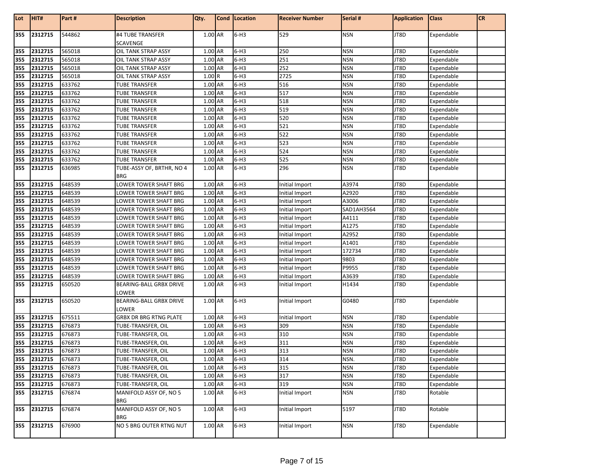| Lot        | HIT#               | Part#            | <b>Description</b>                       | Qty.               | Cond   Location  | <b>Receiver Number</b> | Serial #                 | <b>Application</b> | <b>Class</b>             | <b>CR</b> |
|------------|--------------------|------------------|------------------------------------------|--------------------|------------------|------------------------|--------------------------|--------------------|--------------------------|-----------|
| 355        |                    |                  |                                          | 1.00 AR            | $6-H3$           |                        |                          |                    |                          |           |
|            | 2312715            | 544862           | #4 TUBE TRANSFER<br>SCAVENGE             |                    |                  | 529                    | <b>NSN</b>               | JT8D               | Expendable               |           |
| 355        | 2312715            | 565018           | OIL TANK STRAP ASSY                      | 1.00 AR            | $6-H3$           | 250                    | <b>NSN</b>               | JT8D               | Expendable               |           |
| 355        | 2312715            | 565018           | OIL TANK STRAP ASSY                      | 1.00 AR            | $6-H3$           | 251                    | <b>NSN</b>               | JT8D               | Expendable               |           |
| 355        | 2312715            | 565018           | OIL TANK STRAP ASSY                      | 1.00 AR            | $6-H3$           | 252                    | <b>NSN</b>               | JT8D               | Expendable               |           |
| 355        | 2312715            | 565018           | OIL TANK STRAP ASSY                      | 1.00R              | $6-H3$           | 2725                   | <b>NSN</b>               | JT8D               | Expendable               |           |
| 355        | 2312715            | 633762           | <b>TUBE TRANSFER</b>                     | 1.00 AR            | $6-H3$           | 516                    | <b>NSN</b>               | JT8D               | Expendable               |           |
| 355        | 2312715            | 633762           | TUBE TRANSFER                            | 1.00 AR            | $6-H3$           | 517                    | <b>NSN</b>               | JT8D               | Expendable               |           |
| 355        | 2312715            | 633762           | TUBE TRANSFER                            | 1.00 AR            | $6-H3$           | 518                    | <b>NSN</b>               | JT8D               | Expendable               |           |
| 355        | 2312715            | 633762           | <b>TUBE TRANSFER</b>                     | 1.00 AR            | $6-H3$           | 519                    | <b>NSN</b>               | JT8D               | Expendable               |           |
| 355        | 2312715            | 633762           | <b>TUBE TRANSFER</b>                     | 1.00 AR            | $6-H3$           | 520                    | <b>NSN</b>               | JT8D               | Expendable               |           |
| 355        | 2312715            | 633762           | <b>TUBE TRANSFER</b>                     | 1.00 AR            | $6-H3$           | 521                    | <b>NSN</b>               | JT8D               | Expendable               |           |
| 355        | 2312715            | 633762           | <b>TUBE TRANSFER</b>                     | 1.00 AR            | $6-H3$           | 522                    | <b>NSN</b>               | JT8D               | Expendable               |           |
| 355        | 2312715            | 633762           | TUBE TRANSFER                            | 1.00 AR            | $6-H3$           | 523                    | <b>NSN</b>               | JT8D               | Expendable               |           |
| 355        | 2312715            | 633762           | TUBE TRANSFER                            | 1.00 AR            | $6-H3$           | 524                    | <b>NSN</b>               | JT8D               | Expendable               |           |
| 355        | 2312715            | 633762           | <b>TUBE TRANSFER</b>                     | 1.00 AR            | $6-H3$           | 525                    | <b>NSN</b>               | JT8D               | Expendable               |           |
| 355        | 2312715            | 636985           | TUBE-ASSY OF, BRTHR, NO 4                | 1.00 AR            | $6-H3$           | 296                    | <b>NSN</b>               | JT8D               | Expendable               |           |
|            |                    |                  | <b>BRG</b>                               |                    |                  |                        |                          |                    |                          |           |
| 355        | 2312715            | 648539           | LOWER TOWER SHAFT BRG                    | 1.00 AR            | $6-H3$           | Initial Import         | A3974                    | JT8D               | Expendable               |           |
| 355        | 2312715            | 648539           | LOWER TOWER SHAFT BRG                    | 1.00 AR            | $6-H3$           | Initial Import         | A2920                    | JT8D               | Expendable               |           |
| 355        | 2312715            | 648539           | LOWER TOWER SHAFT BRG                    | 1.00 AR            | $6-H3$           | Initial Import         | A3006                    | JT8D               | Expendable               |           |
| 355        | 2312715            | 648539           | LOWER TOWER SHAFT BRG                    | 1.00 AR            | $6-H3$           | <b>Initial Import</b>  | SAD1AH3564               | JT8D               | Expendable               |           |
| 355        | 2312715            | 648539           | LOWER TOWER SHAFT BRG                    | 1.00 AR            | $6-H3$           | Initial Import         | A4111                    | JT8D               | Expendable               |           |
| 355        | 2312715            | 648539           | LOWER TOWER SHAFT BRG                    | 1.00 AR            | $6-H3$           | Initial Import         | A1275                    | JT8D               | Expendable               |           |
| 355        | 2312715            | 648539           | LOWER TOWER SHAFT BRG                    | 1.00 AR            | $6-H3$           | Initial Import         | A2952                    | JT8D               | Expendable               |           |
| 355        | 2312715            | 648539           | LOWER TOWER SHAFT BRG                    | 1.00 AR            | $6-H3$           | Initial Import         | A1401                    | JT8D               | Expendable               |           |
| 355        | 2312715            | 648539           | LOWER TOWER SHAFT BRG                    | 1.00 AR            | $6-H3$           | Initial Import         | 172734                   | JT8D               | Expendable               |           |
| 355        | 2312715            | 648539           | LOWER TOWER SHAFT BRG                    | 1.00 AR            | $6-H3$           | Initial Import         | 9803                     | JT8D               | Expendable               |           |
| 355        | 2312715            | 648539           | LOWER TOWER SHAFT BRG                    | 1.00 AR            | $6-H3$           | Initial Import         | P9955                    | JT8D               | Expendable               |           |
| 355        | 2312715            | 648539           | LOWER TOWER SHAFT BRG                    | 1.00 AR            | $6-H3$           | Initial Import         | A3639                    | JT8D               | Expendable               |           |
| 355        | 2312715            | 650520           | BEARING-BALL GRBX DRIVE<br>LOWER         | 1.00 AR            | $6-H3$           | Initial Import         | H1434                    | JT8D               | Expendable               |           |
| 355        | 2312715            | 650520           | BEARING-BALL GRBX DRIVE                  | 1.00 AR            | $6-H3$           | Initial Import         | G0480                    | JT8D               | Expendable               |           |
|            |                    |                  | LOWER                                    |                    |                  |                        |                          |                    |                          |           |
| 355        | 2312715            | 675511           | <b>GRBX DR BRG RTNG PLATE</b>            | 1.00 AR            | $6-H3$           | Initial Import         | <b>NSN</b>               | JT8D               | Expendable               |           |
| 355<br>355 | 2312715<br>2312715 | 676873           | TUBE-TRANSFER, OIL                       | 1.00 AR            | $6-H3$<br>$6-H3$ | 309<br>310             | <b>NSN</b><br><b>NSN</b> | JT8D<br>JT8D       | Expendable               |           |
| 355        | 2312715            | 676873<br>676873 | TUBE-TRANSFER, OIL<br>TUBE-TRANSFER, OIL | 1.00 AR<br>1.00 AR | $6-H3$           | 311                    | <b>NSN</b>               | JT8D               | Expendable<br>Expendable |           |
|            |                    |                  | TUBE-TRANSFER, OIL                       |                    | $6-H3$           | 313                    |                          | JT8D               |                          |           |
| 355        | 2312715<br>2312715 | 676873<br>676873 | TUBE-TRANSFER, OIL                       | 1.00 AR<br>1.00 AR | $6-H3$           | 314                    | <b>NSN</b><br>NSN.       | JT8D               | Expendable<br>Expendable |           |
| 355<br>355 | 2312715            | 676873           | TUBE-TRANSFER, OIL                       | 1.00 AR            | $6-H3$           | 315                    | <b>NSN</b>               | JT8D               | Expendable               |           |
| 355        | 2312715            | 676873           | TUBE-TRANSFER, OIL                       | 1.00 AR            | $6-H3$           | 317                    | <b>NSN</b>               | JT8D               | Expendable               |           |
| 355        | 2312715            | 676873           | TUBE-TRANSFER, OIL                       | 1.00 AR            | $6-H3$           | 319                    | <b>NSN</b>               | JT8D               | Expendable               |           |
| 355        | 2312715            | 676874           | MANIFOLD ASSY OF, NO 5                   | 1.00 AR            | $6-H3$           | Initial Import         | <b>NSN</b>               | JT8D               | Rotable                  |           |
|            |                    |                  | <b>BRG</b>                               |                    |                  |                        |                          |                    |                          |           |
| 355        | 2312715            | 676874           | MANIFOLD ASSY OF, NO 5<br><b>BRG</b>     | 1.00 AR            | $6-H3$           | Initial Import         | 5197                     | JT8D               | Rotable                  |           |
| 355        | 2312715            | 676900           | NO 5 BRG OUTER RTNG NUT                  | 1.00 AR            | $6-H3$           | Initial Import         | <b>NSN</b>               | JT8D               | Expendable               |           |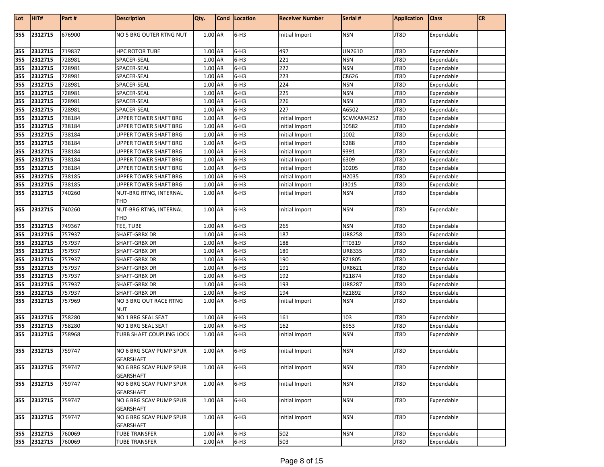| Lot | HIT#        | Part#  | <b>Description</b>                          | Qty.    | Cond   Location | <b>Receiver Number</b> | Serial #   | <b>Application</b> | <b>Class</b> | <b>CR</b> |
|-----|-------------|--------|---------------------------------------------|---------|-----------------|------------------------|------------|--------------------|--------------|-----------|
| 355 | 2312715     | 676900 | NO 5 BRG OUTER RTNG NUT                     | 1.00 AR | $6-H3$          | Initial Import         | <b>NSN</b> | JT8D               | Expendable   |           |
| 355 | 2312715     | 719837 | <b>HPC ROTOR TUBE</b>                       | 1.00 AR | $6-H3$          | 497                    | UN2610     | JT8D               | Expendable   |           |
| 355 | 2312715     | 728981 | SPACER-SEAL                                 | 1.00 AR | $6-H3$          | 221                    | <b>NSN</b> | JT8D               | Expendable   |           |
| 355 | 2312715     | 728981 | SPACER-SEAL                                 | 1.00 AR | $6-H3$          | 222                    | <b>NSN</b> | JT8D               | Expendable   |           |
| 355 | 2312715     | 728981 | SPACER-SEAL                                 | 1.00 AR | $6-H3$          | 223                    | C8626      | JT8D               | Expendable   |           |
| 355 | 2312715     | 728981 | SPACER-SEAL                                 | 1.00 AR | $6-H3$          | 224                    | <b>NSN</b> | JT8D               | Expendable   |           |
| 355 | 2312715     | 728981 | SPACER-SEAL                                 | 1.00 AR | $6-H3$          | 225                    | <b>NSN</b> | JT8D               | Expendable   |           |
| 355 | 2312715     | 728981 | SPACER-SEAL                                 | 1.00 AR | $6-H3$          | 226                    | <b>NSN</b> | JT8D               | Expendable   |           |
| 355 | 2312715     | 728981 | SPACER-SEAL                                 | 1.00 AR | $6-H3$          | 227                    | A6502      | JT8D               | Expendable   |           |
| 355 | 2312715     | 738184 | <b>UPPER TOWER SHAFT BRG</b>                | 1.00 AR | $6-H3$          | Initial Import         | SCWKAM4252 | JT8D               | Expendable   |           |
| 355 | 2312715     | 738184 | UPPER TOWER SHAFT BRG                       | 1.00 AR | $6-H3$          | Initial Import         | 10582      | JT8D               | Expendable   |           |
| 355 | 2312715     | 738184 | UPPER TOWER SHAFT BRG                       | 1.00 AR | $6-H3$          | Initial Import         | 1002       | JT8D               | Expendable   |           |
| 355 | 2312715     | 738184 | UPPER TOWER SHAFT BRG                       | 1.00 AR | $6-H3$          | Initial Import         | 6288       | JT8D               | Expendable   |           |
| 355 | 2312715     | 738184 | UPPER TOWER SHAFT BRG                       | 1.00 AR | $6-H3$          | Initial Import         | 9391       | JT8D               | Expendable   |           |
| 355 | 2312715     | 738184 | UPPER TOWER SHAFT BRG                       | 1.00 AR | $6-H3$          | Initial Import         | 6309       | JT8D               | Expendable   |           |
| 355 | 2312715     | 738184 | UPPER TOWER SHAFT BRG                       | 1.00 AR | $6-H3$          | Initial Import         | 10205      | JT8D               | Expendable   |           |
| 355 | 2312715     | 738185 | UPPER TOWER SHAFT BRG                       | 1.00 AR | $6-H3$          | Initial Import         | H2035      | JT8D               | Expendable   |           |
| 355 | 2312715     | 738185 | UPPER TOWER SHAFT BRG                       | 1.00 AR | $6-H3$          | Initial Import         | J3015      | JT8D               | Expendable   |           |
| 355 | 2312715     | 740260 | NUT-BRG RTNG, INTERNAL                      | 1.00 AR | $6-H3$          | Initial Import         | <b>NSN</b> | JT8D               | Expendable   |           |
|     |             |        | THD                                         |         |                 |                        |            |                    |              |           |
| 355 | 2312715     | 740260 | NUT-BRG RTNG, INTERNAL                      | 1.00 AR | $6-H3$          | Initial Import         | <b>NSN</b> | JT8D               | Expendable   |           |
|     |             |        | THD                                         |         |                 |                        |            |                    |              |           |
| 355 | 2312715     | 749367 | TEE, TUBE                                   | 1.00 AR | $6-H3$          | 265                    | <b>NSN</b> | JT8D               | Expendable   |           |
| 355 | 2312715     | 757937 | SHAFT-GRBX DR                               | 1.00 AR | $6-H3$          | 187                    | UR8258     | JT8D               | Expendable   |           |
| 355 | 2312715     | 757937 | SHAFT-GRBX DR                               | 1.00 AR | $6-H3$          | 188                    | TT0319     | JT8D               | Expendable   |           |
| 355 | 2312715     | 757937 | SHAFT-GRBX DR                               | 1.00 AR | $6-H3$          | 189                    | UR8335     | JT8D               | Expendable   |           |
| 355 | 2312715     | 757937 | SHAFT-GRBX DR                               | 1.00 AR | $6-H3$          | 190                    | RZ1805     | JT8D               | Expendable   |           |
| 355 | 2312715     | 757937 | SHAFT-GRBX DR                               | 1.00 AR | $6-H3$          | 191                    | UR8621     | JT8D               | Expendable   |           |
| 355 | 2312715     | 757937 | SHAFT-GRBX DR                               | 1.00 AR | $6-H3$          | 192                    | R21874     | JT8D               | Expendable   |           |
| 355 | 2312715     | 757937 | SHAFT-GRBX DR                               | 1.00 AR | $6-H3$          | 193                    | UR8287     | JT8D               | Expendable   |           |
| 355 | 2312715     | 757937 | SHAFT-GRBX DR                               | 1.00 AR | $6-H3$          | 194                    | RZ1892     | JT8D               | Expendable   |           |
| 355 | 2312715     | 757969 | NO 3 BRG OUT RACE RTNG<br><b>NUT</b>        | 1.00 AR | $6-H3$          | Initial Import         | <b>NSN</b> | JT8D               | Expendable   |           |
| 355 | 2312715     | 758280 | NO 1 BRG SEAL SEAT                          | 1.00 AR | $6-H3$          | 161                    | 103        | JT8D               | Expendable   |           |
| 355 | 2312715     | 758280 | NO 1 BRG SEAL SEAT                          | 1.00 AR | $6-H3$          | 162                    | 6953       | JT8D               | Expendable   |           |
| 355 | 2312715     | 758968 | TURB SHAFT COUPLING LOCK                    | 1.00 AR | $6-H3$          | Initial Import         | NSN        | JT8D               | Expendable   |           |
|     |             |        |                                             |         |                 |                        |            |                    |              |           |
|     | 355 2312715 | 759747 | NO 6 BRG SCAV PUMP SPUR<br><b>GEARSHAFT</b> | 1.00 AR | $6-H3$          | Initial Import         | <b>NSN</b> | JT8D               | Expendable   |           |
| 355 | 2312715     | 759747 | NO 6 BRG SCAV PUMP SPUR<br><b>GEARSHAFT</b> | 1.00 AR | $6-H3$          | Initial Import         | <b>NSN</b> | JT8D               | Expendable   |           |
| 355 | 2312715     | 759747 | NO 6 BRG SCAV PUMP SPUR<br><b>GEARSHAFT</b> | 1.00 AR | $6-H3$          | Initial Import         | <b>NSN</b> | JT8D               | Expendable   |           |
| 355 | 2312715     | 759747 | NO 6 BRG SCAV PUMP SPUR<br>GEARSHAFT        | 1.00 AR | $6-H3$          | Initial Import         | <b>NSN</b> | JT8D               | Expendable   |           |
| 355 | 2312715     | 759747 | NO 6 BRG SCAV PUMP SPUR<br>GEARSHAFT        | 1.00 AR | $6-H3$          | Initial Import         | <b>NSN</b> | JT8D               | Expendable   |           |
| 355 | 2312715     | 760069 | <b>TUBE TRANSFER</b>                        | 1.00 AR | $6-H3$          | 502                    | <b>NSN</b> | JT8D               | Expendable   |           |
|     | 355 2312715 | 760069 | <b>TUBE TRANSFER</b>                        | 1.00 AR | $6-H3$          | 503                    |            | JT8D               | Expendable   |           |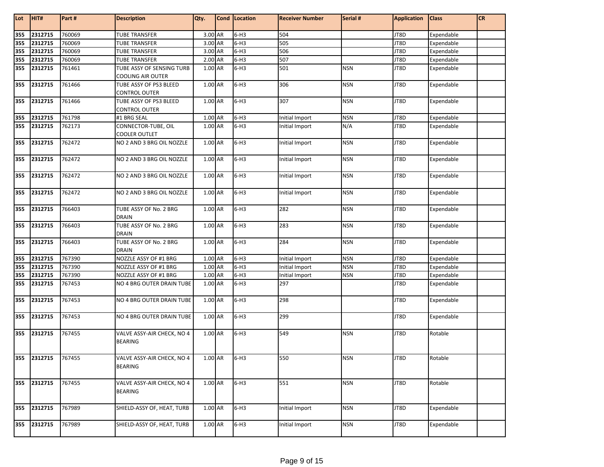| Lot | HIT#               | Part # | <b>Description</b>                             | Qty.                 | Cond Location | <b>Receiver Number</b> | Serial #   | <b>Application</b> | <b>Class</b> | <b>CR</b> |
|-----|--------------------|--------|------------------------------------------------|----------------------|---------------|------------------------|------------|--------------------|--------------|-----------|
| 355 | 2312715            | 760069 | <b>TUBE TRANSFER</b>                           | 3.00 AR              | $6-H3$        | 504                    |            | JT8D               | Expendable   |           |
| 355 | 2312715            | 760069 | <b>TUBE TRANSFER</b>                           | $3.00$ AR            | $6-H3$        | 505                    |            | JT8D               | Expendable   |           |
| 355 | 2312715            | 760069 | <b>TUBE TRANSFER</b>                           | 3.00 AR              | $6-H3$        | 506                    |            | JT8D               | Expendable   |           |
| 355 | 2312715            | 760069 | <b>TUBE TRANSFER</b>                           | 2.00 AR              | $6-H3$        | 507                    |            | JT8D               | Expendable   |           |
| 355 | 2312715            | 761461 | TUBE ASSY OF SENSING TURB                      | 1.00 AR              | $6-H3$        | 501                    | <b>NSN</b> | JT8D               | Expendable   |           |
|     |                    |        | <b>COOLING AIR OUTER</b>                       |                      |               |                        |            |                    |              |           |
| 355 | 2312715            | 761466 | TUBE ASSY OF PS3 BLEED<br><b>CONTROL OUTER</b> | 1.00 AR              | $6-H3$        | 306                    | <b>NSN</b> | JT8D               | Expendable   |           |
| 355 | 2312715            | 761466 | TUBE ASSY OF PS3 BLEED<br>CONTROL OUTER        | 1.00 AR              | $6-H3$        | 307                    | <b>NSN</b> | JT8D               | Expendable   |           |
| 355 | 2312715            | 761798 | #1 BRG SEAL                                    | 1.00 AR              | $6-H3$        | Initial Import         | <b>NSN</b> | JT8D               | Expendable   |           |
| 355 | 2312715            | 762173 | CONNECTOR-TUBE, OIL<br><b>COOLER OUTLET</b>    | 1.00 AR              | $6-H3$        | Initial Import         | N/A        | JT8D               | Expendable   |           |
| 355 | 2312715            | 762472 | NO 2 AND 3 BRG OIL NOZZLE                      | 1.00 AR              | $6-H3$        | Initial Import         | <b>NSN</b> | JT8D               | Expendable   |           |
| 355 | 2312715            | 762472 | NO 2 AND 3 BRG OIL NOZZLE                      | 1.00 AR              | $6-H3$        | Initial Import         | <b>NSN</b> | JT8D               | Expendable   |           |
| 355 | 2312715            | 762472 | NO 2 AND 3 BRG OIL NOZZLE                      | 1.00 AR              | $6-H3$        | Initial Import         | <b>NSN</b> | JT8D               | Expendable   |           |
| 355 | 2312715            | 762472 | NO 2 AND 3 BRG OIL NOZZLE                      | 1.00 AR              | $6-H3$        | Initial Import         | <b>NSN</b> | JT8D               | Expendable   |           |
| 355 | 2312715            | 766403 | TUBE ASSY OF No. 2 BRG<br><b>DRAIN</b>         | 1.00 AR              | $6-H3$        | 282                    | <b>NSN</b> | JT8D               | Expendable   |           |
| 355 | 2312715            | 766403 | TUBE ASSY OF No. 2 BRG<br><b>DRAIN</b>         | 1.00 AR              | $6-H3$        | 283                    | <b>NSN</b> | JT8D               | Expendable   |           |
| 355 | 2312715            | 766403 | TUBE ASSY OF No. 2 BRG<br><b>DRAIN</b>         | 1.00 AR              | $6-H3$        | 284                    | <b>NSN</b> | JT8D               | Expendable   |           |
| 355 | 2312715            | 767390 | NOZZLE ASSY OF #1 BRG                          | 1.00 AR              | $6-H3$        | Initial Import         | <b>NSN</b> | JT8D               | Expendable   |           |
| 355 | 2312715            | 767390 | NOZZLE ASSY OF #1 BRG                          | 1.00 AR              | $6-H3$        | Initial Import         | <b>NSN</b> | JT8D               | Expendable   |           |
| 355 | 2312715            | 767390 | NOZZLE ASSY OF #1 BRG                          | 1.00 AR              | $6-H3$        | Initial Import         | <b>NSN</b> | JT8D               | Expendable   |           |
| 355 | 2312715            | 767453 | NO 4 BRG OUTER DRAIN TUBE                      | 1.00 AR              | $6-H3$        | 297                    |            | JT8D               | Expendable   |           |
| 355 | 2312715            | 767453 | NO 4 BRG OUTER DRAIN TUBE                      | 1.00 AR              | $6-H3$        | 298                    |            | JT8D               | Expendable   |           |
| 355 | 2312715            | 767453 | NO 4 BRG OUTER DRAIN TUBE                      | 1.00 AR              | $6-H3$        | 299                    |            | JT8D               | Expendable   |           |
| 355 | 2312715            | 767455 | VALVE ASSY-AIR CHECK, NO 4<br><b>BEARING</b>   | 1.00 AR              | $6-H3$        | 549                    | <b>NSN</b> | JT8D               | Rotable      |           |
|     | 355 2312715 767455 |        | VALVE ASSY-AIR CHECK, NO 4<br><b>BEARING</b>   | 1.00 AR              | $6-H3$        | 550                    | <b>NSN</b> | JT8D               | Rotable      |           |
|     | 355 2312715        | 767455 | VALVE ASSY-AIR CHECK, NO 4<br><b>BEARING</b>   | $1.00 \overline{AR}$ | $6-H3$        | 551                    | <b>NSN</b> | JT8D               | Rotable      |           |
| 355 | 2312715            | 767989 | SHIELD-ASSY OF, HEAT, TURB                     | $1.00\; \mathsf{AR}$ | $6-H3$        | Initial Import         | <b>NSN</b> | JT8D               | Expendable   |           |
|     | 355 2312715        | 767989 | SHIELD-ASSY OF, HEAT, TURB                     | 1.00 AR              | $6-H3$        | Initial Import         | <b>NSN</b> | JT8D               | Expendable   |           |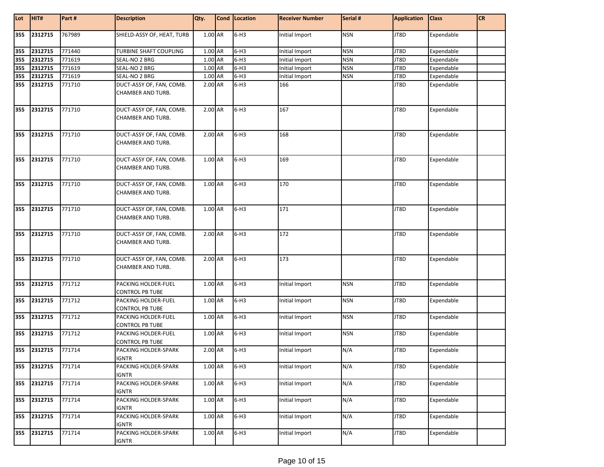| Lot               | HIT#        | Part#  | <b>Description</b>                                   | Qty.    | Cond Location | <b>Receiver Number</b> | Serial #   | <b>Application</b> | <b>Class</b> | CR |
|-------------------|-------------|--------|------------------------------------------------------|---------|---------------|------------------------|------------|--------------------|--------------|----|
| 355               | 2312715     | 767989 | SHIELD-ASSY OF, HEAT, TURB                           | 1.00 AR | $6-H3$        | Initial Import         | <b>NSN</b> | JT8D               | Expendable   |    |
|                   | 2312715     | 771440 | TURBINE SHAFT COUPLING                               | 1.00 AR | $6-H3$        | Initial Import         | <b>NSN</b> | JT8D               | Expendable   |    |
| 355<br>355<br>355 | 2312715     | 771619 | SEAL-NO 2 BRG                                        | 1.00 AR | $6-H3$        | Initial Import         | <b>NSN</b> | JT8D               | Expendable   |    |
|                   | 2312715     | 771619 | SEAL-NO 2 BRG                                        | 1.00 AR | $6-H3$        | Initial Import         | <b>NSN</b> | JT8D               | Expendable   |    |
| 355               | 2312715     | 771619 | SEAL-NO 2 BRG                                        | 1.00 AR | $6-H3$        | Initial Import         | <b>NSN</b> | JT8D               | Expendable   |    |
| 355               | 2312715     | 771710 | DUCT-ASSY OF, FAN, COMB.<br>CHAMBER AND TURB.        | 2.00 AR | $6-H3$        | 166                    |            | JT8D               | Expendable   |    |
| 355               | 2312715     | 771710 | DUCT-ASSY OF, FAN, COMB.<br><b>CHAMBER AND TURB.</b> | 2.00 AR | $6-H3$        | 167                    |            | JT8D               | Expendable   |    |
| 355               | 2312715     | 771710 | DUCT-ASSY OF, FAN, COMB.<br>CHAMBER AND TURB.        | 2.00 AR | $6-H3$        | 168                    |            | JT8D               | Expendable   |    |
|                   | 355 2312715 | 771710 | DUCT-ASSY OF, FAN, COMB.<br>CHAMBER AND TURB.        | 1.00 AR | $6-H3$        | 169                    |            | JT8D               | Expendable   |    |
| 355               | 2312715     | 771710 | DUCT-ASSY OF, FAN, COMB.<br>CHAMBER AND TURB.        | 1.00 AR | $6-H3$        | 170                    |            | JT8D               | Expendable   |    |
| 355               | 2312715     | 771710 | DUCT-ASSY OF, FAN, COMB.<br><b>CHAMBER AND TURB.</b> | 1.00 AR | $6-H3$        | 171                    |            | JT8D               | Expendable   |    |
| 355               | 2312715     | 771710 | DUCT-ASSY OF, FAN, COMB.<br>CHAMBER AND TURB.        | 2.00 AR | $6-H3$        | 172                    |            | JT8D               | Expendable   |    |
| 355               | 2312715     | 771710 | DUCT-ASSY OF, FAN, COMB.<br>CHAMBER AND TURB.        | 2.00 AR | $6-H3$        | 173                    |            | JT8D               | Expendable   |    |
| 355               | 2312715     | 771712 | PACKING HOLDER-FUEL<br>CONTROL PB TUBE               | 1.00 AR | $6-H3$        | Initial Import         | <b>NSN</b> | JT8D               | Expendable   |    |
| 355               | 2312715     | 771712 | PACKING HOLDER-FUEL<br><b>CONTROL PB TUBE</b>        | 1.00 AR | $6-H3$        | Initial Import         | <b>NSN</b> | JT8D               | Expendable   |    |
| 355               | 2312715     | 771712 | PACKING HOLDER-FUEL<br>CONTROL PB TUBE               | 1.00 AR | $6-H3$        | Initial Import         | <b>NSN</b> | JT8D               | Expendable   |    |
| 355               | 2312715     | 771712 | PACKING HOLDER-FUEL<br>CONTROL PB TUBE               | 1.00 AR | $6-H3$        | Initial Import         | <b>NSN</b> | JT8D               | Expendable   |    |
| 355               | 2312715     | 771714 | PACKING HOLDER-SPARK<br>IGNTR                        | 2.00 AR | $6-H3$        | Initial Import         | N/A        | JT8D               | Expendable   |    |
| 355               | 2312715     | 771714 | PACKING HOLDER-SPARK<br>IGNTR                        | 1.00 AR | $6-H3$        | Initial Import         | N/A        | JT8D               | Expendable   |    |
| 355               | 2312715     | 771714 | PACKING HOLDER-SPARK<br>IGNTR                        | 1.00 AR | $6-H3$        | Initial Import         | N/A        | JT8D               | Expendable   |    |
| 355               | 2312715     | 771714 | PACKING HOLDER-SPARK<br><b>IGNTR</b>                 | 1.00 AR | $6-H3$        | Initial Import         | N/A        | JT8D               | Expendable   |    |
| 355               | 2312715     | 771714 | PACKING HOLDER-SPARK<br><b>IGNTR</b>                 | 1.00 AR | $6-H3$        | Initial Import         | N/A        | JT8D               | Expendable   |    |
| 355               | 2312715     | 771714 | PACKING HOLDER-SPARK<br><b>IGNTR</b>                 | 1.00 AR | $6-H3$        | Initial Import         | N/A        | JT8D               | Expendable   |    |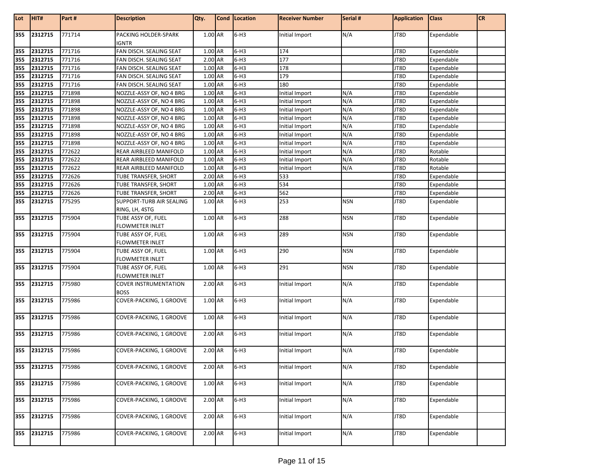| Lot | HIT#        | Part#  | <b>Description</b>                           | Qty.    | Cond   Location | <b>Receiver Number</b> | Serial #   | <b>Application</b> | <b>Class</b> | CR |
|-----|-------------|--------|----------------------------------------------|---------|-----------------|------------------------|------------|--------------------|--------------|----|
| 355 | 2312715     | 771714 | PACKING HOLDER-SPARK<br><b>IGNTR</b>         | 1.00 AR | $6-H3$          | Initial Import         | N/A        | JT8D               | Expendable   |    |
| 355 | 2312715     | 771716 | FAN DISCH. SEALING SEAT                      | 1.00 AR | $6-H3$          | 174                    |            | JT8D               | Expendable   |    |
| 355 | 2312715     | 771716 | FAN DISCH. SEALING SEAT                      | 2.00 AR | $6-H3$          | 177                    |            | JT8D               | Expendable   |    |
| 355 | 2312715     | 771716 | FAN DISCH. SEALING SEAT                      | 1.00 AR | $6-H3$          | 178                    |            | JT8D               | Expendable   |    |
| 355 | 2312715     | 771716 | FAN DISCH. SEALING SEAT                      | 1.00 AR | $6-H3$          | 179                    |            | JT8D               | Expendable   |    |
| 355 | 2312715     | 771716 | FAN DISCH. SEALING SEAT                      | 1.00 AR | $6-H3$          | 180                    |            | JT8D               | Expendable   |    |
| 355 | 2312715     | 771898 | NOZZLE-ASSY OF, NO 4 BRG                     | 1.00 AR | $6-H3$          | Initial Import         | N/A        | JT8D               | Expendable   |    |
| 355 | 2312715     | 771898 | NOZZLE-ASSY OF, NO 4 BRG                     | 1.00 AR | $6-H3$          | Initial Import         | N/A        | JT8D               | Expendable   |    |
| 355 | 2312715     | 771898 | NOZZLE-ASSY OF, NO 4 BRG                     | 1.00 AR | $6-H3$          | Initial Import         | N/A        | JT8D               | Expendable   |    |
| 355 | 2312715     | 771898 | NOZZLE-ASSY OF, NO 4 BRG                     | 1.00 AR | $6-H3$          | Initial Import         | N/A        | JT8D               | Expendable   |    |
| 355 | 2312715     | 771898 | NOZZLE-ASSY OF, NO 4 BRG                     | 1.00 AR | $6-H3$          | Initial Import         | N/A        | JT8D               | Expendable   |    |
| 355 | 2312715     | 771898 | NOZZLE-ASSY OF, NO 4 BRG                     | 1.00 AR | $6-H3$          | Initial Import         | N/A        | JT8D               | Expendable   |    |
| 355 | 2312715     | 771898 | NOZZLE-ASSY OF, NO 4 BRG                     | 1.00 AR | $6-H3$          | Initial Import         | N/A        | JT8D               | Expendable   |    |
| 355 | 2312715     | 772622 | REAR AIRBLEED MANIFOLD                       | 1.00 AR | $6-H3$          | Initial Import         | N/A        | JT8D               | Rotable      |    |
| 355 | 2312715     | 772622 | REAR AIRBLEED MANIFOLD                       | 1.00 AR | $6-H3$          | Initial Import         | N/A        | JT8D               | Rotable      |    |
| 355 | 2312715     | 772622 | REAR AIRBLEED MANIFOLD                       | 1.00 AR | $6-H3$          | Initial Import         | N/A        | JT8D               | Rotable      |    |
| 355 | 2312715     | 772626 | TUBE TRANSFER, SHORT                         | 2.00 AR | $6-H3$          | 533                    |            | JT8D               | Expendable   |    |
| 355 | 2312715     | 772626 | TUBE TRANSFER, SHORT                         | 1.00 AR | $6-H3$          | 534                    |            | JT8D               | Expendable   |    |
| 355 | 2312715     | 772626 | TUBE TRANSFER, SHORT                         | 2.00 AR | $6-H3$          | 562                    |            | JT8D               | Expendable   |    |
| 355 | 2312715     | 775295 | SUPPORT-TURB AIR SEALING<br>RING, LH, 4STG   | 1.00 AR | $6-H3$          | 253                    | <b>NSN</b> | JT8D               | Expendable   |    |
| 355 | 2312715     | 775904 | TUBE ASSY OF, FUEL<br>FLOWMETER INLET        | 1.00 AR | $6-H3$          | 288                    | <b>NSN</b> | JT8D               | Expendable   |    |
| 355 | 2312715     | 775904 | TUBE ASSY OF, FUEL<br><b>FLOWMETER INLET</b> | 1.00 AR | $6-H3$          | 289                    | <b>NSN</b> | JT8D               | Expendable   |    |
| 355 | 2312715     | 775904 | TUBE ASSY OF, FUEL<br><b>FLOWMETER INLET</b> | 1.00 AR | $6-H3$          | 290                    | <b>NSN</b> | JT8D               | Expendable   |    |
| 355 | 2312715     | 775904 | TUBE ASSY OF, FUEL<br><b>FLOWMETER INLET</b> | 1.00 AR | $6-H3$          | 291                    | <b>NSN</b> | JT8D               | Expendable   |    |
| 355 | 2312715     | 775980 | <b>COVER INSTRUMENTATION</b><br><b>BOSS</b>  | 2.00 AR | $6-H3$          | Initial Import         | N/A        | JT8D               | Expendable   |    |
| 355 | 2312715     | 775986 | COVER-PACKING, 1 GROOVE                      | 1.00 AR | $6-H3$          | Initial Import         | N/A        | JT8D               | Expendable   |    |
| 355 | 2312715     | 775986 | COVER-PACKING, 1 GROOVE                      | 1.00 AR | $6-H3$          | Initial Import         | N/A        | JT8D               | Expendable   |    |
| 355 | 2312715     | 775986 | COVER-PACKING, 1 GROOVE                      | 2.00 AR | $6-H3$          | Initial Import         | N/A        | JT8D               | Expendable   |    |
|     | 355 2312715 | 775986 | COVER-PACKING, 1 GROOVE                      | 2.00 AR | $6-H3$          | Initial Import         | N/A        | JT8D               | Expendable   |    |
| 355 | 2312715     | 775986 | COVER-PACKING, 1 GROOVE                      | 2.00 AR | $6-H3$          | Initial Import         | N/A        | JT8D               | Expendable   |    |
| 355 | 2312715     | 775986 | COVER-PACKING, 1 GROOVE                      | 1.00 AR | $6-H3$          | Initial Import         | N/A        | JT8D               | Expendable   |    |
| 355 | 2312715     | 775986 | COVER-PACKING, 1 GROOVE                      | 2.00 AR | $6-H3$          | Initial Import         | N/A        | JT8D               | Expendable   |    |
| 355 | 2312715     | 775986 | COVER-PACKING, 1 GROOVE                      | 2.00 AR | $6-H3$          | Initial Import         | N/A        | JT8D               | Expendable   |    |
| 355 | 2312715     | 775986 | COVER-PACKING, 1 GROOVE                      | 2.00 AR | $6-H3$          | Initial Import         | N/A        | JT8D               | Expendable   |    |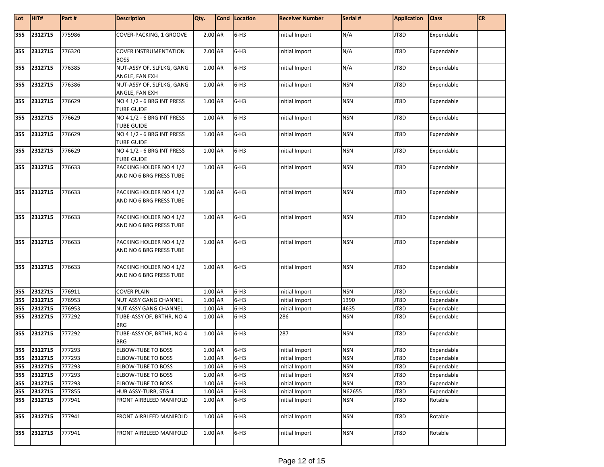| Lot | HIT#        | Part#  | <b>Description</b>                                 | Qty.      | Cond   Location | <b>Receiver Number</b> | Serial #   | <b>Application</b> | <b>Class</b> | <b>CR</b> |
|-----|-------------|--------|----------------------------------------------------|-----------|-----------------|------------------------|------------|--------------------|--------------|-----------|
| 355 | 2312715     | 775986 | COVER-PACKING, 1 GROOVE                            | 2.00 AR   | $6-H3$          | Initial Import         | N/A        | JT8D               | Expendable   |           |
| 355 | 2312715     | 776320 | <b>COVER INSTRUMENTATION</b><br><b>BOSS</b>        | $2.00$ AR | $6-H3$          | Initial Import         | N/A        | JT8D               | Expendable   |           |
| 355 | 2312715     | 776385 | NUT-ASSY OF, SLFLKG, GANG<br>ANGLE, FAN EXH        | 1.00 AR   | $6-H3$          | Initial Import         | N/A        | JT8D               | Expendable   |           |
| 355 | 2312715     | 776386 | NUT-ASSY OF, SLFLKG, GANG<br>ANGLE, FAN EXH        | 1.00 AR   | $6-H3$          | Initial Import         | <b>NSN</b> | JT8D               | Expendable   |           |
| 355 | 2312715     | 776629 | NO 4 1/2 - 6 BRG INT PRESS<br>TUBE GUIDE           | 1.00 AR   | $6-H3$          | Initial Import         | <b>NSN</b> | JT8D               | Expendable   |           |
| 355 | 2312715     | 776629 | NO 4 1/2 - 6 BRG INT PRESS<br><b>TUBE GUIDE</b>    | 1.00 AR   | $6-H3$          | Initial Import         | <b>NSN</b> | JT8D               | Expendable   |           |
| 355 | 2312715     | 776629 | NO 4 1/2 - 6 BRG INT PRESS<br>TUBE GUIDE           | 1.00 AR   | $6-H3$          | Initial Import         | <b>NSN</b> | JT8D               | Expendable   |           |
| 355 | 2312715     | 776629 | NO 4 1/2 - 6 BRG INT PRESS<br>TUBE GUIDE           | 1.00 AR   | $6-H3$          | Initial Import         | <b>NSN</b> | JT8D               | Expendable   |           |
| 355 | 2312715     | 776633 | PACKING HOLDER NO 4 1/2<br>AND NO 6 BRG PRESS TUBE | 1.00 AR   | $6-H3$          | Initial Import         | <b>NSN</b> | JT8D               | Expendable   |           |
| 355 | 2312715     | 776633 | PACKING HOLDER NO 4 1/2<br>AND NO 6 BRG PRESS TUBE | 1.00 AR   | $6-H3$          | Initial Import         | <b>NSN</b> | JT8D               | Expendable   |           |
| 355 | 2312715     | 776633 | PACKING HOLDER NO 4 1/2<br>AND NO 6 BRG PRESS TUBE | 1.00 AR   | $6-H3$          | Initial Import         | <b>NSN</b> | JT8D               | Expendable   |           |
| 355 | 2312715     | 776633 | PACKING HOLDER NO 4 1/2<br>AND NO 6 BRG PRESS TUBE | 1.00 AR   | $6-H3$          | Initial Import         | <b>NSN</b> | JT8D               | Expendable   |           |
| 355 | 2312715     | 776633 | PACKING HOLDER NO 4 1/2<br>AND NO 6 BRG PRESS TUBE | 1.00 AR   | $6-H3$          | Initial Import         | <b>NSN</b> | JT8D               | Expendable   |           |
| 355 | 2312715     | 776911 | <b>COVER PLAIN</b>                                 | 1.00 AR   | $6-H3$          | Initial Import         | <b>NSN</b> | JT8D               | Expendable   |           |
| 355 | 2312715     | 776953 | NUT ASSY GANG CHANNEL                              | 1.00 AR   | $6-H3$          | Initial Import         | 1390       | JT8D               | Expendable   |           |
| 355 | 2312715     | 776953 | NUT ASSY GANG CHANNEL                              | 1.00 AR   | $6-H3$          | Initial Import         | 4635       | JT8D               | Expendable   |           |
| 355 | 2312715     | 777292 | TUBE-ASSY OF, BRTHR, NO 4<br><b>BRG</b>            | 1.00 AR   | $6-H3$          | 286                    | <b>NSN</b> | JT8D               | Expendable   |           |
| 355 | 2312715     | 777292 | TUBE-ASSY OF, BRTHR, NO 4<br><b>BRG</b>            | $1.00$ AR | $6-H3$          | 287                    | <b>NSN</b> | JT8D               | Expendable   |           |
| 355 | 2312715     | 777293 | <b>ELBOW-TUBE TO BOSS</b>                          | 1.00 AR   | $6-H3$          | Initial Import         | <b>NSN</b> | JT8D               | Expendable   |           |
|     | 355 2312715 | 777293 | <b>ELBOW-TUBE TO BOSS</b>                          | 1.00 AR   | 6-H3            | Initial Import         | <b>NSN</b> | JT8D               | Expendable   |           |
|     | 355 2312715 | 777293 | ELBOW-TUBE TO BOSS                                 | 1.00 AR   | $6-H3$          | Initial Import         | <b>NSN</b> | JT8D               | Expendable   |           |
|     | 355 2312715 | 777293 | ELBOW-TUBE TO BOSS                                 | 1.00 AR   | $6-H3$          | Initial Import         | <b>NSN</b> | JT8D               | Expendable   |           |
|     | 355 2312715 | 777293 | ELBOW-TUBE TO BOSS                                 | 1.00 AR   | $6-H3$          | Initial Import         | <b>NSN</b> | JT8D               | Expendable   |           |
| 355 | 2312715     | 777855 | HUB ASSY-TURB, STG 4                               | 1.00 AR   | $6-H3$          | Initial Import         | N62655     | JT8D               | Expendable   |           |
| 355 | 2312715     | 777941 | FRONT AIRBLEED MANIFOLD                            | 1.00 AR   | $6-H3$          | Initial Import         | <b>NSN</b> | JT8D               | Rotable      |           |
| 355 | 2312715     | 777941 | FRONT AIRBLEED MANIFOLD                            | 1.00 AR   | $6-H3$          | Initial Import         | <b>NSN</b> | JT8D               | Rotable      |           |
| 355 | 2312715     | 777941 | FRONT AIRBLEED MANIFOLD                            | 1.00 AR   | $6-H3$          | Initial Import         | <b>NSN</b> | JT8D               | Rotable      |           |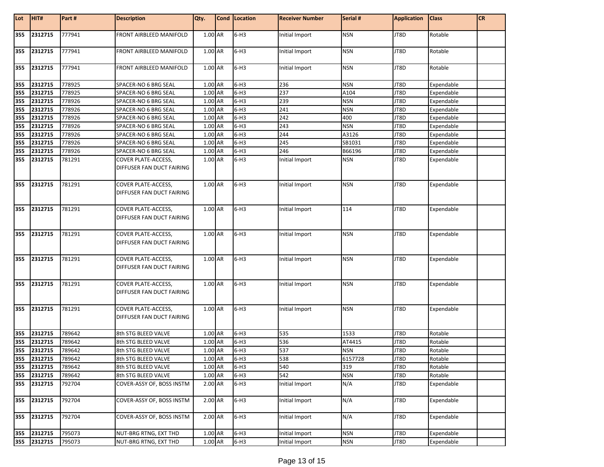| Lot | HIT#    | Part#  | <b>Description</b>                                      | Qty.    | Cond   Location | <b>Receiver Number</b> | Serial #   | <b>Application</b> | <b>Class</b> | <b>CR</b> |
|-----|---------|--------|---------------------------------------------------------|---------|-----------------|------------------------|------------|--------------------|--------------|-----------|
| 355 | 2312715 | 777941 | FRONT AIRBLEED MANIFOLD                                 | 1.00 AR | $6-H3$          | Initial Import         | <b>NSN</b> | JT8D               | Rotable      |           |
| 355 | 2312715 | 777941 | FRONT AIRBLEED MANIFOLD                                 | 1.00 AR | $6-H3$          | Initial Import         | <b>NSN</b> | JT8D               | Rotable      |           |
| 355 | 2312715 | 777941 | FRONT AIRBLEED MANIFOLD                                 | 1.00 AR | $6-H3$          | Initial Import         | <b>NSN</b> | JT8D               | Rotable      |           |
| 355 | 2312715 | 778925 | SPACER-NO 6 BRG SEAL                                    | 1.00 AR | $6-H3$          | 236                    | <b>NSN</b> | JT8D               | Expendable   |           |
| 355 | 2312715 | 778925 | SPACER-NO 6 BRG SEAL                                    | 1.00 AR | $6-H3$          | 237                    | A104       | JT8D               | Expendable   |           |
| 355 | 2312715 | 778926 | SPACER-NO 6 BRG SEAL                                    | 1.00 AR | $6-H3$          | 239                    | <b>NSN</b> | JT8D               | Expendable   |           |
| 355 | 2312715 | 778926 | SPACER-NO 6 BRG SEAL                                    | 1.00 AR | $6-H3$          | 241                    | <b>NSN</b> | JT8D               | Expendable   |           |
| 355 | 2312715 | 778926 | SPACER-NO 6 BRG SEAL                                    | 1.00 AR | $6-H3$          | 242                    | 400        | JT8D               | Expendable   |           |
| 355 | 2312715 | 778926 | SPACER-NO 6 BRG SEAL                                    | 1.00 AR | $6-H3$          | 243                    | <b>NSN</b> | JT8D               | Expendable   |           |
| 355 | 2312715 | 778926 | SPACER-NO 6 BRG SEAL                                    | 1.00 AR | $6-H3$          | 244                    | A3126      | JT8D               | Expendable   |           |
| 355 | 2312715 | 778926 | SPACER-NO 6 BRG SEAL                                    | 1.00 AR | $6-H3$          | 245                    | SB1031     | JT8D               | Expendable   |           |
| 355 | 2312715 | 778926 | SPACER-NO 6 BRG SEAL                                    | 1.00 AR | $6-H3$          | 246                    | B66196     | JT8D               | Expendable   |           |
| 355 | 2312715 | 781291 | <b>COVER PLATE-ACCESS,</b>                              | 1.00 AR | $6-H3$          | Initial Import         | <b>NSN</b> | JT8D               | Expendable   |           |
|     |         |        | DIFFUSER FAN DUCT FAIRING                               |         |                 |                        |            |                    |              |           |
| 355 | 2312715 | 781291 | <b>COVER PLATE-ACCESS,</b><br>DIFFUSER FAN DUCT FAIRING | 1.00 AR | $6-H3$          | Initial Import         | <b>NSN</b> | JT8D               | Expendable   |           |
| 355 | 2312715 | 781291 | COVER PLATE-ACCESS,<br>DIFFUSER FAN DUCT FAIRING        | 1.00 AR | $6-H3$          | Initial Import         | 114        | JT8D               | Expendable   |           |
| 355 | 2312715 | 781291 | COVER PLATE-ACCESS,<br>DIFFUSER FAN DUCT FAIRING        | 1.00 AR | $6-H3$          | Initial Import         | <b>NSN</b> | JT8D               | Expendable   |           |
| 355 | 2312715 | 781291 | COVER PLATE-ACCESS,<br>DIFFUSER FAN DUCT FAIRING        | 1.00 AR | $6-H3$          | Initial Import         | <b>NSN</b> | JT8D               | Expendable   |           |
| 355 | 2312715 | 781291 | <b>COVER PLATE-ACCESS,</b><br>DIFFUSER FAN DUCT FAIRING | 1.00 AR | $6-H3$          | Initial Import         | <b>NSN</b> | JT8D               | Expendable   |           |
| 355 | 2312715 | 781291 | <b>COVER PLATE-ACCESS,</b><br>DIFFUSER FAN DUCT FAIRING | 1.00 AR | $6-H3$          | Initial Import         | <b>NSN</b> | JT8D               | Expendable   |           |
| 355 | 2312715 | 789642 | 8th STG BLEED VALVE                                     | 1.00 AR | $6-H3$          | 535                    | 1533       | JT8D               | Rotable      |           |
| 355 | 2312715 | 789642 | 8th STG BLEED VALVE                                     | 1.00 AR | $6-H3$          | 536                    | AT4415     | JT8D               | Rotable      |           |
| 355 | 2312715 | 789642 | 8th STG BLEED VALVE                                     | 1.00 AR | $6-H3$          | 537                    | <b>NSN</b> | JT8D               | Rotable      |           |
| 355 | 2312715 | 789642 | 8th STG BLEED VALVE                                     | 1.00 AR | $6-H3$          | 538                    | 6157728    | JT8D               | Rotable      |           |
| 355 | 2312715 | 789642 | 8th STG BLEED VALVE                                     | 1.00 AR | $6-H3$          | 540                    | 319        | JT8D               | Rotable      |           |
| 355 | 2312715 | 789642 | 8th STG BLEED VALVE                                     | 1.00 AR | $6-H3$          | 542                    | <b>NSN</b> | JT8D               | Rotable      |           |
| 355 | 2312715 | 792704 | COVER-ASSY OF, BOSS INSTM                               | 2.00 AR | $6-H3$          | Initial Import         | N/A        | JT8D               | Expendable   |           |
| 355 | 2312715 | 792704 | COVER-ASSY OF, BOSS INSTM                               | 2.00 AR | $6-H3$          | Initial Import         | N/A        | JT8D               | Expendable   |           |
| 355 | 2312715 | 792704 | COVER-ASSY OF, BOSS INSTM                               | 2.00 AR | $6-H3$          | Initial Import         | N/A        | JT8D               | Expendable   |           |
| 355 | 2312715 | 795073 | NUT-BRG RTNG, EXT THD                                   | 1.00 AR | $6-H3$          | Initial Import         | <b>NSN</b> | JT8D               | Expendable   |           |
| 355 | 2312715 | 795073 | NUT-BRG RTNG, EXT THD                                   | 1.00 AR | $6-H3$          | Initial Import         | <b>NSN</b> | JT8D               | Expendable   |           |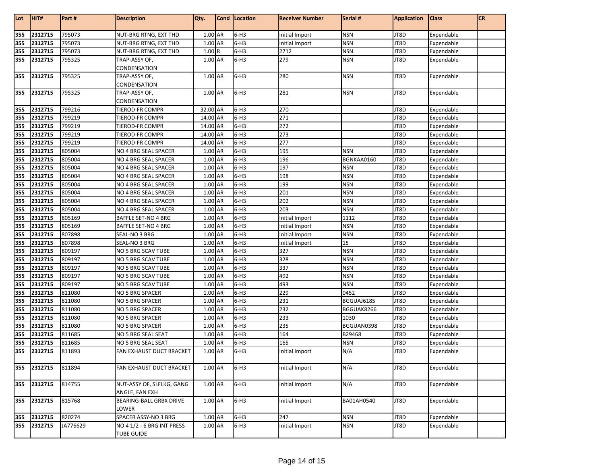| Lot        | HIT#               | Part#            | <b>Description</b>                             | Qty.               | Cond   Location  | <b>Receiver Number</b> | Serial #             | <b>Application</b> | <b>Class</b>             | <b>CR</b> |
|------------|--------------------|------------------|------------------------------------------------|--------------------|------------------|------------------------|----------------------|--------------------|--------------------------|-----------|
| 355        | 2312715            | 795073           | NUT-BRG RTNG, EXT THD                          | 1.00 AR            | $6-H3$           | Initial Import         | <b>NSN</b>           | JT8D               | Expendable               |           |
| 355        | 2312715            | 795073           | NUT-BRG RTNG, EXT THD                          | 1.00 AR            | $6-H3$           | Initial Import         | <b>NSN</b>           | JT8D               | Expendable               |           |
| 355        | 2312715            | 795073           | NUT-BRG RTNG, EXT THD                          | 1.00R              | $6-H3$           | 2712                   | <b>NSN</b>           | JT8D               | Expendable               |           |
| 355        | 2312715            | 795325           | TRAP-ASSY OF,                                  | 1.00 AR            | $6-H3$           | 279                    | <b>NSN</b>           | JT8D               | Expendable               |           |
|            |                    |                  | CONDENSATION                                   |                    |                  |                        |                      |                    |                          |           |
| 355        | 2312715            | 795325           | TRAP-ASSY OF,                                  | 1.00 AR            | $6-H3$           | 280                    | <b>NSN</b>           | JT8D               | Expendable               |           |
|            |                    |                  | CONDENSATION                                   |                    |                  |                        |                      |                    |                          |           |
| 355        | 2312715            | 795325           | TRAP-ASSY OF,                                  | 1.00 AR            | $6-H3$           | 281                    | <b>NSN</b>           | JT8D               | Expendable               |           |
|            |                    |                  | CONDENSATION                                   |                    |                  |                        |                      |                    |                          |           |
| 355        | 2312715            | 799216           | TIEROD-FR COMPR                                | 32.00 AR           | $6-H3$           | 270                    |                      | JT8D               | Expendable               |           |
| 355        | 2312715            | 799219           | TIEROD-FR COMPR                                | 14.00 AR           | $6-H3$           | 271                    |                      | JT8D               | Expendable               |           |
| 355        | 2312715            | 799219           | TIEROD-FR COMPR                                | 14.00 AR           | $6-H3$           | 272                    |                      | JT8D               | Expendable               |           |
| 355        | 2312715            | 799219           | TIEROD-FR COMPR                                | 14.00 AR           | $6-H3$           | 273                    |                      | JT8D               | Expendable               |           |
| 355        | 2312715            | 799219           | TIEROD-FR COMPR                                | 14.00 AR           | $6-H3$           | 277                    |                      | JT8D               | Expendable               |           |
| 355        | 2312715            | 805004           | NO 4 BRG SEAL SPACER                           | 1.00 AR            | $6-H3$           | 195                    | <b>NSN</b>           | JT8D               | Expendable               |           |
| 355        | 2312715            | 805004           | NO 4 BRG SEAL SPACER                           | 1.00 AR            | $6-H3$           | 196                    | BGNKAA0160           | JT8D               | Expendable               |           |
| 355        | 2312715            | 805004           | NO 4 BRG SEAL SPACER                           | 1.00 AR            | $6-H3$           | 197                    | <b>NSN</b>           | JT8D               | Expendable               |           |
| 355        | 2312715            | 805004           | NO 4 BRG SEAL SPACER                           | 1.00 AR            | $6-H3$           | 198                    | <b>NSN</b>           | JT8D               | Expendable               |           |
| 355        | 2312715            | 805004           | NO 4 BRG SEAL SPACER                           | 1.00 AR            | $6-H3$           | 199                    | <b>NSN</b>           | JT8D               | Expendable               |           |
| 355        | 2312715            | 805004           | NO 4 BRG SEAL SPACER                           | 1.00 AR            | $6-H3$           | 201                    | <b>NSN</b>           | JT8D               | Expendable               |           |
| 355        | 2312715            | 805004           | NO 4 BRG SEAL SPACER                           | 1.00 AR            | $6-H3$           | 202                    | <b>NSN</b>           | JT8D               | Expendable               |           |
| 355        | 2312715            | 805004           | NO 4 BRG SEAL SPACER                           | 1.00 AR            | $6-H3$           | 203                    | <b>NSN</b>           | JT8D               | Expendable               |           |
| 355        | 2312715            | 805169           | BAFFLE SET-NO 4 BRG                            | 1.00 AR            | $6-H3$           | Initial Import         | 1112                 | JT8D               | Expendable               |           |
| 355        | 2312715            | 805169           | <b>BAFFLE SET-NO 4 BRG</b>                     | 1.00 AR            | $6-H3$           | Initial Import         | <b>NSN</b>           | JT8D               | Expendable               |           |
| 355        | 2312715            | 807898           | SEAL-NO 3 BRG                                  | 1.00 AR            | $6-H3$           | Initial Import         | <b>NSN</b>           | JT8D               | Expendable               |           |
| 355        | 2312715            | 807898           | SEAL-NO 3 BRG                                  | 1.00 AR            | $6-H3$           | Initial Import         | 15                   | JT8D               | Expendable               |           |
| 355        | 2312715            | 809197           | NO 5 BRG SCAV TUBE                             | 1.00 AR            | $6-H3$           | 327                    | <b>NSN</b>           | JT8D               | Expendable               |           |
| 355        | 2312715            | 809197           | NO 5 BRG SCAV TUBE                             | 1.00 AR            | $6-H3$           | 328                    | <b>NSN</b>           | JT8D               | Expendable               |           |
| 355        | 2312715            | 809197           | NO 5 BRG SCAV TUBE                             | 1.00 AR            | $6-H3$           | 337                    | <b>NSN</b>           | JT8D               | Expendable               |           |
| 355        | 2312715            | 809197           | NO 5 BRG SCAV TUBE                             | 1.00 AR            | $6-H3$           | 492                    | <b>NSN</b>           | JT8D               | Expendable               |           |
| 355        | 2312715            | 809197           | NO 5 BRG SCAV TUBE                             | 1.00 AR            | $6-H3$           | 493                    | <b>NSN</b>           | JT8D               | Expendable               |           |
| 355        | 2312715            | 811080           | NO 5 BRG SPACER                                | 1.00 AR            | $6-H3$           | 229                    | 0452                 | JT8D               | Expendable               |           |
| 355        | 2312715            | 811080           | <b>NO 5 BRG SPACER</b>                         | 1.00 AR            | $6-H3$           | 231                    | BGGUAJ6185           | JT8D               | Expendable               |           |
| 355        | 2312715            | 811080           | NO 5 BRG SPACER                                | 1.00 AR<br>1.00 AR | $6-H3$           | 232                    | BGGUAK8266           | JT8D               | Expendable               |           |
| 355        | 2312715            | 811080           | NO 5 BRG SPACER                                | 1.00 AR            | $6-H3$<br>$6-H3$ | 233                    | 1030                 | JT8D               | Expendable               |           |
| 355        | 2312715<br>2312715 | 811080           | NO 5 BRG SPACER                                | 1.00 AR            | $6-H3$           | 235<br>164             | BGGUAN0398<br>B29468 | JT8D               | Expendable               |           |
| 355<br>355 | 2312715            | 811685<br>811685 | NO 5 BRG SEAL SEAT                             |                    | $6-H3$           | 165                    | <b>NSN</b>           | JT8D               | Expendable               |           |
| 355        | 2312715            | 811893           | NO 5 BRG SEAL SEAT<br>FAN EXHAUST DUCT BRACKET | 1.00 AR<br>1.00 AR | $6-H3$           | Initial Import         | N/A                  | JT8D<br>JT8D       | Expendable<br>Expendable |           |
|            |                    |                  |                                                |                    |                  |                        |                      |                    |                          |           |
| 355        | 2312715            | 811894           | FAN EXHAUST DUCT BRACKET                       | 1.00 AR            | $6-H3$           | Initial Import         | N/A                  | JT8D               | Expendable               |           |
| 355        | 2312715            | 814755           | NUT-ASSY OF, SLFLKG, GANG                      | 1.00 AR            | $6-H3$           | Initial Import         | N/A                  | JT8D               | Expendable               |           |
|            |                    |                  | ANGLE, FAN EXH                                 |                    |                  |                        |                      |                    |                          |           |
| 355        | 2312715            | 815768           | BEARING-BALL GRBX DRIVE<br>LOWER               | 1.00 AR            | $6-H3$           | Initial Import         | BA01AH0540           | JT8D               | Expendable               |           |
| 355        | 2312715            | 820274           | SPACER ASSY-NO 3 BRG                           | 1.00 AR            | $6-H3$           | 247                    | <b>NSN</b>           | JT8D               | Expendable               |           |
| 355        | 2312715            | JA776629         | NO 4 1/2 - 6 BRG INT PRESS                     | 1.00 AR            | $6-H3$           | Initial Import         | <b>NSN</b>           | JT8D               | Expendable               |           |
|            |                    |                  | TUBE GUIDE                                     |                    |                  |                        |                      |                    |                          |           |